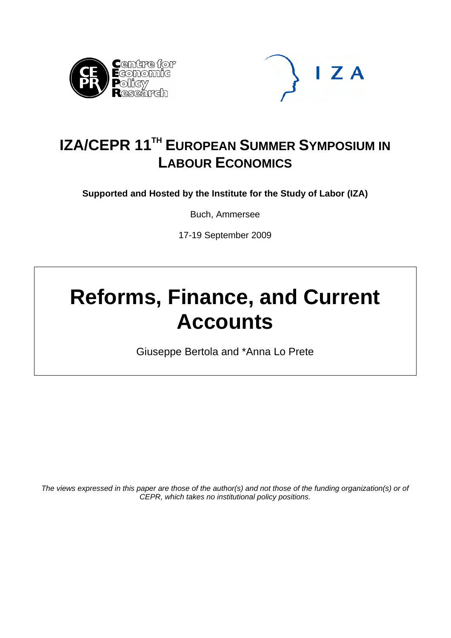



# **IZA/CEPR 11<sup>TH</sup> EUROPEAN SUMMER SYMPOSIUM IN LABOUR ECONOMICS**

**Supported and Hosted by the Institute for the Study of Labor (IZA)** 

Buch, Ammersee

17-19 September 2009

# **Reforms, Finance, and Current Accounts**

Giuseppe Bertola and \*Anna Lo Prete

*The views expressed in this paper are those of the author(s) and not those of the funding organization(s) or of CEPR, which takes no institutional policy positions.*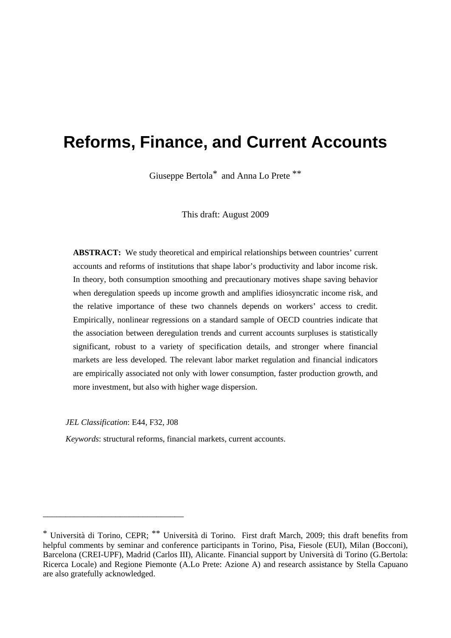# **Reforms, Finance, and Current Accounts**

Giuseppe Bertola\* and Anna Lo Prete \*\*

This draft: August 2009

**ABSTRACT:** We study theoretical and empirical relationships between countries' current accounts and reforms of institutions that shape labor's productivity and labor income risk. In theory, both consumption smoothing and precautionary motives shape saving behavior when deregulation speeds up income growth and amplifies idiosyncratic income risk, and the relative importance of these two channels depends on workers' access to credit. Empirically, nonlinear regressions on a standard sample of OECD countries indicate that the association between deregulation trends and current accounts surpluses is statistically significant, robust to a variety of specification details, and stronger where financial markets are less developed. The relevant labor market regulation and financial indicators are empirically associated not only with lower consumption, faster production growth, and more investment, but also with higher wage dispersion.

*JEL Classification*: E44, F32, J08

\_\_\_\_\_\_\_\_\_\_\_\_\_\_\_\_\_\_\_\_\_\_\_\_\_\_\_\_\_\_\_

*Keywords*: structural reforms, financial markets, current accounts.

<sup>\*</sup> Università di Torino, CEPR; \*\* Università di Torino. First draft March, 2009; this draft benefits from helpful comments by seminar and conference participants in Torino, Pisa, Fiesole (EUI), Milan (Bocconi), Barcelona (CREI-UPF), Madrid (Carlos III), Alicante. Financial support by Università di Torino (G.Bertola: Ricerca Locale) and Regione Piemonte (A.Lo Prete: Azione A) and research assistance by Stella Capuano are also gratefully acknowledged.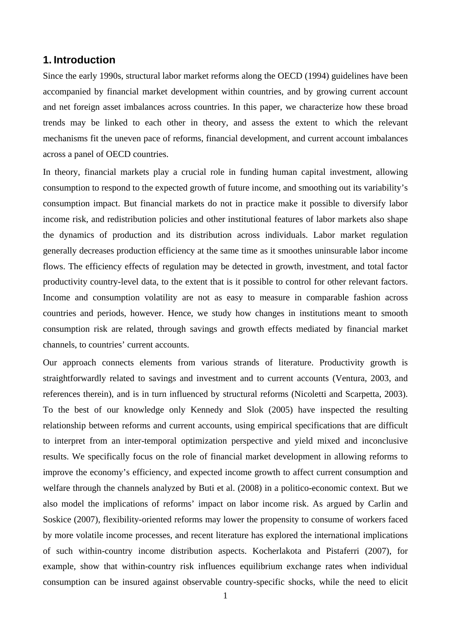# **1. Introduction**

Since the early 1990s, structural labor market reforms along the OECD (1994) guidelines have been accompanied by financial market development within countries, and by growing current account and net foreign asset imbalances across countries. In this paper, we characterize how these broad trends may be linked to each other in theory, and assess the extent to which the relevant mechanisms fit the uneven pace of reforms, financial development, and current account imbalances across a panel of OECD countries.

In theory, financial markets play a crucial role in funding human capital investment, allowing consumption to respond to the expected growth of future income, and smoothing out its variability's consumption impact. But financial markets do not in practice make it possible to diversify labor income risk, and redistribution policies and other institutional features of labor markets also shape the dynamics of production and its distribution across individuals. Labor market regulation generally decreases production efficiency at the same time as it smoothes uninsurable labor income flows. The efficiency effects of regulation may be detected in growth, investment, and total factor productivity country-level data, to the extent that is it possible to control for other relevant factors. Income and consumption volatility are not as easy to measure in comparable fashion across countries and periods, however. Hence, we study how changes in institutions meant to smooth consumption risk are related, through savings and growth effects mediated by financial market channels, to countries' current accounts.

Our approach connects elements from various strands of literature. Productivity growth is straightforwardly related to savings and investment and to current accounts (Ventura, 2003, and references therein), and is in turn influenced by structural reforms (Nicoletti and Scarpetta, 2003). To the best of our knowledge only Kennedy and Slok (2005) have inspected the resulting relationship between reforms and current accounts, using empirical specifications that are difficult to interpret from an inter-temporal optimization perspective and yield mixed and inconclusive results. We specifically focus on the role of financial market development in allowing reforms to improve the economy's efficiency, and expected income growth to affect current consumption and welfare through the channels analyzed by Buti et al. (2008) in a politico-economic context. But we also model the implications of reforms' impact on labor income risk. As argued by Carlin and Soskice (2007), flexibility-oriented reforms may lower the propensity to consume of workers faced by more volatile income processes, and recent literature has explored the international implications of such within-country income distribution aspects. Kocherlakota and Pistaferri (2007), for example, show that within-country risk influences equilibrium exchange rates when individual consumption can be insured against observable country-specific shocks, while the need to elicit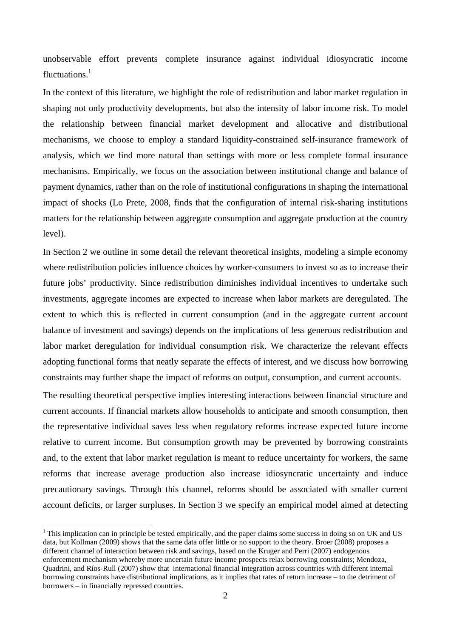unobservable effort prevents complete insurance against individual idiosyncratic income fluctuations. $<sup>1</sup>$ </sup>

In the context of this literature, we highlight the role of redistribution and labor market regulation in shaping not only productivity developments, but also the intensity of labor income risk. To model the relationship between financial market development and allocative and distributional mechanisms, we choose to employ a standard liquidity-constrained self-insurance framework of analysis, which we find more natural than settings with more or less complete formal insurance mechanisms. Empirically, we focus on the association between institutional change and balance of payment dynamics, rather than on the role of institutional configurations in shaping the international impact of shocks (Lo Prete, 2008, finds that the configuration of internal risk-sharing institutions matters for the relationship between aggregate consumption and aggregate production at the country level).

In Section 2 we outline in some detail the relevant theoretical insights, modeling a simple economy where redistribution policies influence choices by worker-consumers to invest so as to increase their future jobs' productivity. Since redistribution diminishes individual incentives to undertake such investments, aggregate incomes are expected to increase when labor markets are deregulated. The extent to which this is reflected in current consumption (and in the aggregate current account balance of investment and savings) depends on the implications of less generous redistribution and labor market deregulation for individual consumption risk. We characterize the relevant effects adopting functional forms that neatly separate the effects of interest, and we discuss how borrowing constraints may further shape the impact of reforms on output, consumption, and current accounts.

The resulting theoretical perspective implies interesting interactions between financial structure and current accounts. If financial markets allow households to anticipate and smooth consumption, then the representative individual saves less when regulatory reforms increase expected future income relative to current income. But consumption growth may be prevented by borrowing constraints and, to the extent that labor market regulation is meant to reduce uncertainty for workers, the same reforms that increase average production also increase idiosyncratic uncertainty and induce precautionary savings. Through this channel, reforms should be associated with smaller current account deficits, or larger surpluses. In Section 3 we specify an empirical model aimed at detecting

 $\overline{a}$ 

 $1$  This implication can in principle be tested empirically, and the paper claims some success in doing so on UK and US data, but Kollman (2009) shows that the same data offer little or no support to the theory. Broer (2008) proposes a different channel of interaction between risk and savings, based on the Kruger and Perri (2007) endogenous enforcement mechanism whereby more uncertain future income prospects relax borrowing constraints; Mendoza, Quadrini, and Ríos-Rull (2007) show that international financial integration across countries with different internal borrowing constraints have distributional implications, as it implies that rates of return increase – to the detriment of borrowers – in financially repressed countries.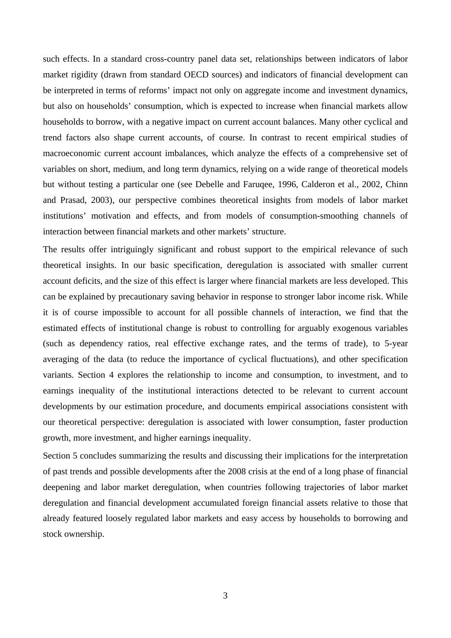such effects. In a standard cross-country panel data set, relationships between indicators of labor market rigidity (drawn from standard OECD sources) and indicators of financial development can be interpreted in terms of reforms' impact not only on aggregate income and investment dynamics, but also on households' consumption, which is expected to increase when financial markets allow households to borrow, with a negative impact on current account balances. Many other cyclical and trend factors also shape current accounts, of course. In contrast to recent empirical studies of macroeconomic current account imbalances, which analyze the effects of a comprehensive set of variables on short, medium, and long term dynamics, relying on a wide range of theoretical models but without testing a particular one (see Debelle and Faruqee, 1996, Calderon et al., 2002, Chinn and Prasad, 2003), our perspective combines theoretical insights from models of labor market institutions' motivation and effects, and from models of consumption-smoothing channels of interaction between financial markets and other markets' structure.

The results offer intriguingly significant and robust support to the empirical relevance of such theoretical insights. In our basic specification, deregulation is associated with smaller current account deficits, and the size of this effect is larger where financial markets are less developed. This can be explained by precautionary saving behavior in response to stronger labor income risk. While it is of course impossible to account for all possible channels of interaction, we find that the estimated effects of institutional change is robust to controlling for arguably exogenous variables (such as dependency ratios, real effective exchange rates, and the terms of trade), to 5-year averaging of the data (to reduce the importance of cyclical fluctuations), and other specification variants. Section 4 explores the relationship to income and consumption, to investment, and to earnings inequality of the institutional interactions detected to be relevant to current account developments by our estimation procedure, and documents empirical associations consistent with our theoretical perspective: deregulation is associated with lower consumption, faster production growth, more investment, and higher earnings inequality.

Section 5 concludes summarizing the results and discussing their implications for the interpretation of past trends and possible developments after the 2008 crisis at the end of a long phase of financial deepening and labor market deregulation, when countries following trajectories of labor market deregulation and financial development accumulated foreign financial assets relative to those that already featured loosely regulated labor markets and easy access by households to borrowing and stock ownership.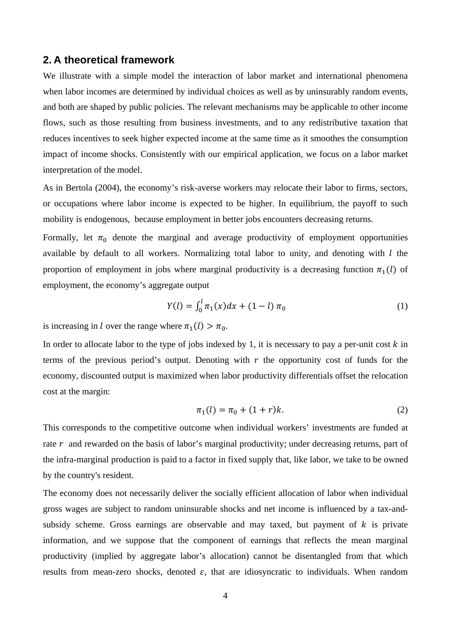# **2. A theoretical framework**

We illustrate with a simple model the interaction of labor market and international phenomena when labor incomes are determined by individual choices as well as by uninsurably random events, and both are shaped by public policies. The relevant mechanisms may be applicable to other income flows, such as those resulting from business investments, and to any redistributive taxation that reduces incentives to seek higher expected income at the same time as it smoothes the consumption impact of income shocks. Consistently with our empirical application, we focus on a labor market interpretation of the model.

As in Bertola (2004), the economy's risk-averse workers may relocate their labor to firms, sectors, or occupations where labor income is expected to be higher. In equilibrium, the payoff to such mobility is endogenous, because employment in better jobs encounters decreasing returns.

Formally, let  $\pi_0$  denote the marginal and average productivity of employment opportunities available by default to all workers. Normalizing total labor to unity, and denoting with  $l$  the proportion of employment in jobs where marginal productivity is a decreasing function  $\pi_1(l)$  of employment, the economy's aggregate output

$$
Y(l) = \int_0^l \pi_1(x) dx + (1 - l) \pi_0 \tag{1}
$$

is increasing in *l* over the range where  $\pi_1(l) > \pi_0$ .

In order to allocate labor to the type of jobs indexed by 1, it is necessary to pay a per-unit cost  $k$  in terms of the previous period's output. Denoting with  $r$  the opportunity cost of funds for the economy, discounted output is maximized when labor productivity differentials offset the relocation cost at the margin:

$$
\pi_1(l) = \pi_0 + (1+r)k. \tag{2}
$$

This corresponds to the competitive outcome when individual workers' investments are funded at rate  $r$  and rewarded on the basis of labor's marginal productivity; under decreasing returns, part of the infra-marginal production is paid to a factor in fixed supply that, like labor, we take to be owned by the country's resident.

The economy does not necessarily deliver the socially efficient allocation of labor when individual gross wages are subject to random uninsurable shocks and net income is influenced by a tax-andsubsidy scheme. Gross earnings are observable and may taxed, but payment of  $k$  is private information, and we suppose that the component of earnings that reflects the mean marginal productivity (implied by aggregate labor's allocation) cannot be disentangled from that which results from mean-zero shocks, denoted  $\varepsilon$ , that are idiosyncratic to individuals. When random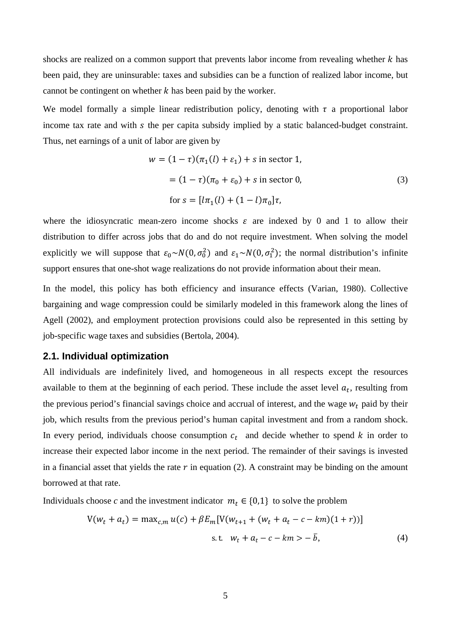shocks are realized on a common support that prevents labor income from revealing whether k has been paid, they are uninsurable: taxes and subsidies can be a function of realized labor income, but cannot be contingent on whether  $k$  has been paid by the worker.

We model formally a simple linear redistribution policy, denoting with  $\tau$  a proportional labor income tax rate and with s the per capita subsidy implied by a static balanced-budget constraint. Thus, net earnings of a unit of labor are given by

$$
w = (1 - \tau)(\pi_1(l) + \varepsilon_1) + s \text{ in sector 1},
$$
  
=  $(1 - \tau)(\pi_0 + \varepsilon_0) + s \text{ in sector 0},$   
for  $s = [l\pi_1(l) + (1 - l)\pi_0]\tau,$  (3)

where the idiosyncratic mean-zero income shocks  $\varepsilon$  are indexed by 0 and 1 to allow their distribution to differ across jobs that do and do not require investment. When solving the model explicitly we will suppose that  $\varepsilon_0 \sim N(0, \sigma_0^2)$  and  $\varepsilon_1 \sim N(0, \sigma_1^2)$ ; the normal distribution's infinite support ensures that one-shot wage realizations do not provide information about their mean.

In the model, this policy has both efficiency and insurance effects (Varian, 1980). Collective bargaining and wage compression could be similarly modeled in this framework along the lines of Agell (2002), and employment protection provisions could also be represented in this setting by job-specific wage taxes and subsidies (Bertola, 2004).

#### 2.1. Individual optimization

All individuals are indefinitely lived, and homogeneous in all respects except the resources available to them at the beginning of each period. These include the asset level  $a_t$ , resulting from the previous period's financial savings choice and accrual of interest, and the wage  $w_t$  paid by their job, which results from the previous period's human capital investment and from a random shock. In every period, individuals choose consumption  $c_t$  and decide whether to spend k in order to increase their expected labor income in the next period. The remainder of their savings is invested in a financial asset that yields the rate  $r$  in equation (2). A constraint may be binding on the amount borrowed at that rate.

Individuals choose c and the investment indicator  $m_t \in \{0,1\}$  to solve the problem

$$
V(w_t + a_t) = \max_{c,m} u(c) + \beta E_m [V(w_{t+1} + (w_t + a_t - c - km)(1+r))]
$$
  
s.t.  $w_t + a_t - c - km > -\overline{b}$ , (4)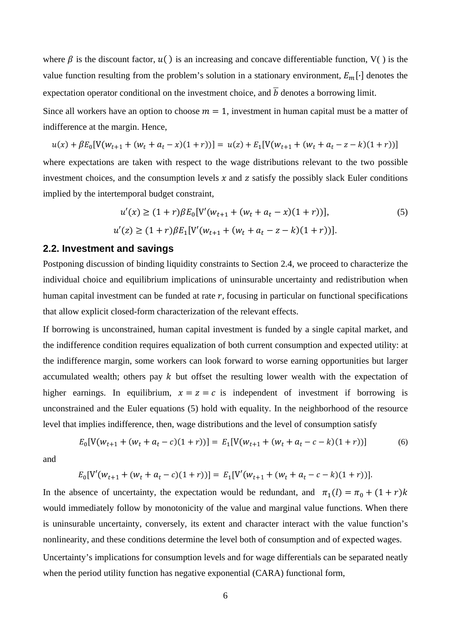where  $\beta$  is the discount factor,  $u()$  is an increasing and concave differentiable function, V() is the value function resulting from the problem's solution in a stationary environment,  $E_m[\cdot]$  denotes the expectation operator conditional on the investment choice, and  $\overline{b}$  denotes a borrowing limit.

Since all workers have an option to choose  $m = 1$ , investment in human capital must be a matter of indifference at the margin. Hence,

$$
u(x) + \beta E_0[V(w_{t+1} + (w_t + a_t - x)(1+r))] = u(z) + E_1[V(w_{t+1} + (w_t + a_t - z - k)(1+r))] = u(z) + E_1[V(w_{t+1} + (w_t + a_t - z - k)(1+r))] = u(z) + E_1[V(w_{t+1} + (w_t + a_t - z - k)(1+r))] = u(z) + E_1[V(w_{t+1} + (w_t + a_t - z - k)(1+r))] = u(z) + E_1[V(w_{t+1} + (w_t + a_t - z - k)(1+r))] = u(z) + E_1[V(w_{t+1} + (w_t + a_t - z - k)(1+r))] = u(z) + E_1[V(w_{t+1} + (w_t + a_t - z - k)(1+r))] = u(z) + E_1[V(w_{t+1} + (w_t + a_t - z - k)(1+r)]]
$$

where expectations are taken with respect to the wage distributions relevant to the two possible investment choices, and the consumption levels  $x$  and  $z$  satisfy the possibly slack Euler conditions implied by the intertemporal budget constraint,

$$
u'(x) \ge (1+r)\beta E_0[V'(w_{t+1} + (w_t + a_t - x)(1+r))],
$$
\n
$$
u'(z) \ge (1+r)\beta E_1[V'(w_{t+1} + (w_t + a_t - z - k)(1+r))].
$$
\n(5)

#### **2.2. Investment and savings**

Postponing discussion of binding liquidity constraints to Section 2.4, we proceed to characterize the individual choice and equilibrium implications of uninsurable uncertainty and redistribution when human capital investment can be funded at rate  $r$ , focusing in particular on functional specifications that allow explicit closed-form characterization of the relevant effects.

If borrowing is unconstrained, human capital investment is funded by a single capital market, and the indifference condition requires equalization of both current consumption and expected utility: at the indifference margin, some workers can look forward to worse earning opportunities but larger accumulated wealth; others pay  $k$  but offset the resulting lower wealth with the expectation of higher earnings. In equilibrium,  $x = z = c$  is independent of investment if borrowing is unconstrained and the Euler equations (5) hold with equality. In the neighborhood of the resource level that implies indifference, then, wage distributions and the level of consumption satisfy

$$
E_0[V(w_{t+1} + (w_t + a_t - c)(1+r))] = E_1[V(w_{t+1} + (w_t + a_t - c - k)(1+r))] \tag{6}
$$

and

$$
E_0[V'(w_{t+1} + (w_t + a_t - c)(1+r))] = E_1[V'(w_{t+1} + (w_t + a_t - c - k)(1+r))].
$$

In the absence of uncertainty, the expectation would be redundant, and  $\pi_1(l) = \pi_0 + (1 + r)k$ would immediately follow by monotonicity of the value and marginal value functions. When there is uninsurable uncertainty, conversely, its extent and character interact with the value function's nonlinearity, and these conditions determine the level both of consumption and of expected wages.

Uncertainty's implications for consumption levels and for wage differentials can be separated neatly when the period utility function has negative exponential (CARA) functional form,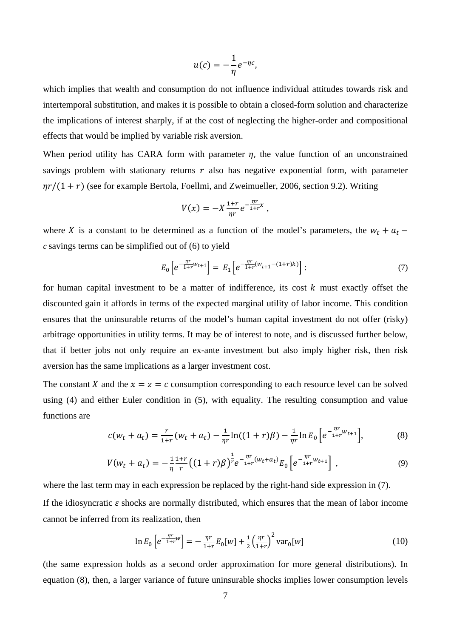$$
u(c)=-\frac{1}{\eta}e^{-\eta c}
$$

which implies that wealth and consumption do not influence individual attitudes towards risk and intertemporal substitution, and makes it is possible to obtain a closed-form solution and characterize the implications of interest sharply, if at the cost of neglecting the higher-order and compositional effects that would be implied by variable risk aversion.

When period utility has CARA form with parameter  $\eta$ , the value function of an unconstrained savings problem with stationary returns  $r$  also has negative exponential form, with parameter  $\eta r/(1+r)$  (see for example Bertola, Foellmi, and Zweimueller, 2006, section 9.2). Writing

$$
V(x) = -X \frac{1+r}{\eta r} e^{-\frac{\eta r}{1+r}x},
$$

where X is a constant to be determined as a function of the model's parameters, the  $w_t + a_t$  –  $c$  savings terms can be simplified out of  $(6)$  to yield

$$
E_0 \left[ e^{-\frac{\eta r}{1+r}W_{t+1}} \right] = E_1 \left[ e^{-\frac{\eta r}{1+r}(W_{t+1}-(1+r)k)} \right] \tag{7}
$$

for human capital investment to be a matter of indifference, its cost  $k$  must exactly offset the discounted gain it affords in terms of the expected marginal utility of labor income. This condition ensures that the uninsurable returns of the model's human capital investment do not offer (risky) arbitrage opportunities in utility terms. It may be of interest to note, and is discussed further below, that if better jobs not only require an ex-ante investment but also imply higher risk, then risk aversion has the same implications as a larger investment cost.

The constant X and the  $x = z = c$  consumption corresponding to each resource level can be solved using (4) and either Euler condition in (5), with equality. The resulting consumption and value functions are

$$
c(w_t + a_t) = \frac{r}{1+r}(w_t + a_t) - \frac{1}{\eta r}\ln((1+r)\beta) - \frac{1}{\eta r}\ln E_0 \left[e^{-\frac{\eta r}{1+r}w_{t+1}}\right],
$$
 (8)

$$
V(w_t + a_t) = -\frac{1}{\eta} \frac{1+r}{r} \left( (1+r)\beta \right)^{\frac{1}{r}} e^{-\frac{\eta r}{1+r}(w_t + a_t)} E_0 \left[ e^{-\frac{\eta r}{1+r} w_{t+1}} \right], \tag{9}
$$

where the last term may in each expression be replaced by the right-hand side expression in (7). If the idiosyncratic  $\varepsilon$  shocks are normally distributed, which ensures that the mean of labor income cannot be inferred from its realization, then

$$
\ln E_0 \left[ e^{-\frac{\eta r}{1+r}W} \right] = -\frac{\eta r}{1+r} E_0[w] + \frac{1}{2} \left( \frac{\eta r}{1+r} \right)^2 \text{var}_0[w] \tag{10}
$$

(the same expression holds as a second order approximation for more general distributions). In equation (8), then, a larger variance of future uninsurable shocks implies lower consumption levels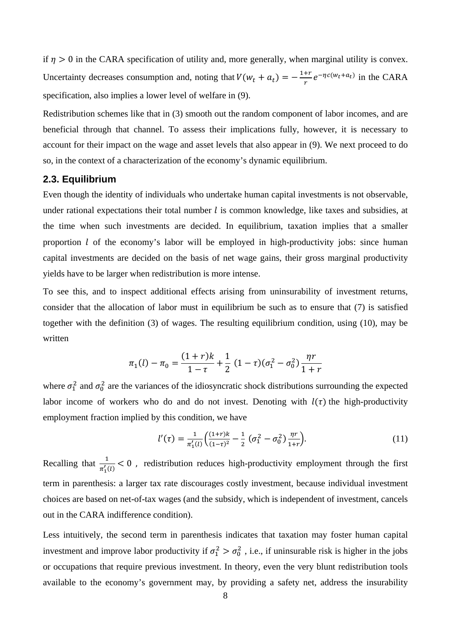if  $\eta > 0$  in the CARA specification of utility and, more generally, when marginal utility is convex. Uncertainty decreases consumption and, noting that  $V(w_t + a_t) = -\frac{1+r}{r}e^{-\eta c(w_t + a_t)}$  in the CARA specification, also implies a lower level of welfare in (9).

Redistribution schemes like that in (3) smooth out the random component of labor incomes, and are beneficial through that channel. To assess their implications fully, however, it is necessary to account for their impact on the wage and asset levels that also appear in (9). We next proceed to do so, in the context of a characterization of the economy's dynamic equilibrium.

# 2.3. Equilibrium

Even though the identity of individuals who undertake human capital investments is not observable, under rational expectations their total number  $l$  is common knowledge, like taxes and subsidies. at the time when such investments are decided. In equilibrium, taxation implies that a smaller proportion  $l$  of the economy's labor will be employed in high-productivity jobs: since human capital investments are decided on the basis of net wage gains, their gross marginal productivity yields have to be larger when redistribution is more intense.

To see this, and to inspect additional effects arising from uninsurability of investment returns, consider that the allocation of labor must in equilibrium be such as to ensure that (7) is satisfied together with the definition  $(3)$  of wages. The resulting equilibrium condition, using  $(10)$ , may be written

$$
\pi_1(l) - \pi_0 = \frac{(1+r)k}{1-\tau} + \frac{1}{2} (1-\tau)(\sigma_1^2 - \sigma_0^2) \frac{\eta r}{1+r}
$$

where  $\sigma_1^2$  and  $\sigma_0^2$  are the variances of the idiosyncratic shock distributions surrounding the expected labor income of workers who do and do not invest. Denoting with  $l(\tau)$  the high-productivity employment fraction implied by this condition, we have

$$
l'(\tau) = \frac{1}{\pi_1'(l)} \left( \frac{(1+r)k}{(1-\tau)^2} - \frac{1}{2} \left( \sigma_1^2 - \sigma_0^2 \right) \frac{\eta r}{1+r} \right).
$$
 (11)

Recalling that  $\frac{1}{\pi'(l)} < 0$ , redistribution reduces high-productivity employment through the first term in parenthesis: a larger tax rate discourages costly investment, because individual investment choices are based on net-of-tax wages (and the subsidy, which is independent of investment, cancels out in the CARA indifference condition).

Less intuitively, the second term in parenthesis indicates that taxation may foster human capital investment and improve labor productivity if  $\sigma_1^2 > \sigma_0^2$ , i.e., if uninsurable risk is higher in the jobs or occupations that require previous investment. In theory, even the very blunt redistribution tools available to the economy's government may, by providing a safety net, address the insurability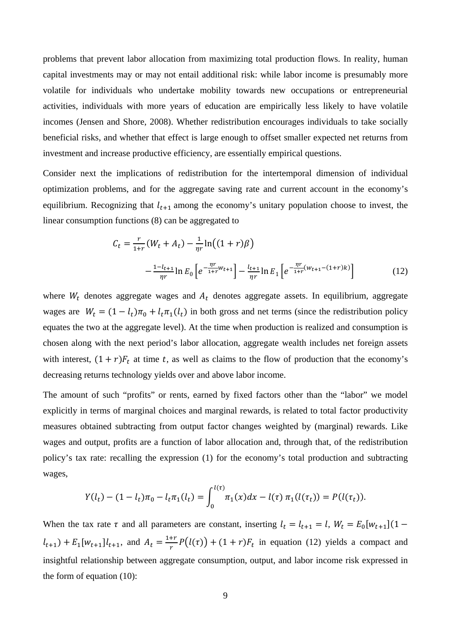problems that prevent labor allocation from maximizing total production flows. In reality, human capital investments may or may not entail additional risk: while labor income is presumably more volatile for individuals who undertake mobility towards new occupations or entrepreneurial activities, individuals with more years of education are empirically less likely to have volatile incomes (Jensen and Shore, 2008). Whether redistribution encourages individuals to take socially beneficial risks, and whether that effect is large enough to offset smaller expected net returns from investment and increase productive efficiency, are essentially empirical questions.

Consider next the implications of redistribution for the intertemporal dimension of individual optimization problems, and for the aggregate saving rate and current account in the economy's equilibrium. Recognizing that  $l_{t+1}$  among the economy's unitary population choose to invest, the linear consumption functions (8) can be aggregated to

$$
C_t = \frac{r}{1+r} (W_t + A_t) - \frac{1}{\eta r} \ln \left( (1+r)\beta \right)
$$

$$
- \frac{1 - l_{t+1}}{\eta r} \ln E_0 \left[ e^{-\frac{\eta r}{1+r} W_{t+1}} \right] - \frac{l_{t+1}}{\eta r} \ln E_1 \left[ e^{-\frac{\eta r}{1+r} (W_{t+1} - (1+r)k)} \right]
$$
(12)

where  $W_t$  denotes aggregate wages and  $A_t$  denotes aggregate assets. In equilibrium, aggregate wages are  $W_t = (1 - l_t)\pi_0 + l_t\pi_1(l_t)$  in both gross and net terms (since the redistribution policy equates the two at the aggregate level). At the time when production is realized and consumption is chosen along with the next period's labor allocation, aggregate wealth includes net foreign assets with interest,  $(1 + r)F_t$  at time t, as well as claims to the flow of production that the economy's decreasing returns technology yields over and above labor income.

The amount of such "profits" or rents, earned by fixed factors other than the "labor" we model explicitly in terms of marginal choices and marginal rewards, is related to total factor productivity measures obtained subtracting from output factor changes weighted by (marginal) rewards. Like wages and output, profits are a function of labor allocation and, through that, of the redistribution policy's tax rate: recalling the expression (1) for the economy's total production and subtracting wages,

$$
Y(l_t) - (1 - l_t)\pi_0 - l_t\pi_1(l_t) = \int_0^{l(\tau)} \pi_1(x)dx - l(\tau)\pi_1(l(\tau_t)) = P(l(\tau_t)).
$$

When the tax rate  $\tau$  and all parameters are constant, inserting  $l_t = l_{t+1} = l$ ,  $W_t = E_0[w_{t+1}](1$  $l_{t+1}$  +  $E_1[w_{t+1}l_{t+1}$ , and  $A_t = \frac{1+r}{r}P(l(\tau)) + (1+r)F_t$  in equation (12) yields a compact and insightful relationship between aggregate consumption, output, and labor income risk expressed in the form of equation  $(10)$ :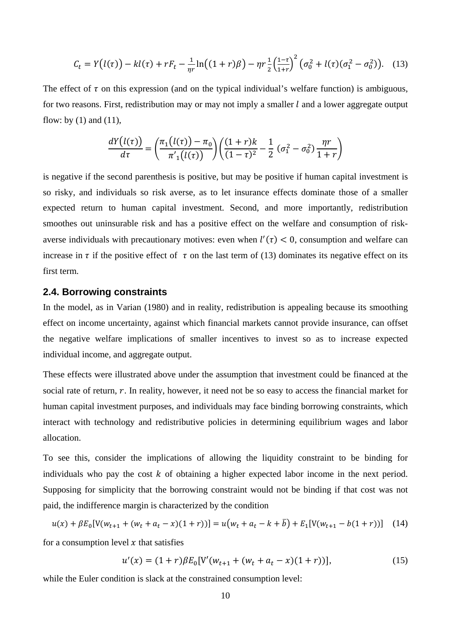$$
C_t = Y(l(\tau)) - kl(\tau) + rF_t - \frac{1}{\eta r} \ln((1+r)\beta) - \eta r \frac{1}{2} \left(\frac{1-\tau}{1+r}\right)^2 \left(\sigma_0^2 + l(\tau)(\sigma_1^2 - \sigma_0^2)\right).
$$
 (13)

The effect of  $\tau$  on this expression (and on the typical individual's welfare function) is ambiguous, for two reasons. First, redistribution may or may not imply a smaller  $l$  and a lower aggregate output flow: by  $(1)$  and  $(11)$ ,

$$
\frac{dY(l(\tau))}{d\tau} = \left(\frac{\pi_1(l(\tau)) - \pi_0}{\pi'_1(l(\tau))}\right) \left(\frac{(1+r)k}{(1-\tau)^2} - \frac{1}{2} (\sigma_1^2 - \sigma_0^2) \frac{\eta r}{1+r}\right)
$$

is negative if the second parenthesis is positive, but may be positive if human capital investment is so risky, and individuals so risk averse, as to let insurance effects dominate those of a smaller expected return to human capital investment. Second, and more importantly, redistribution smoothes out uninsurable risk and has a positive effect on the welfare and consumption of riskaverse individuals with precautionary motives: even when  $l'(\tau) < 0$ , consumption and welfare can increase in  $\tau$  if the positive effect of  $\tau$  on the last term of (13) dominates its negative effect on its first term.

#### 2.4. Borrowing constraints

In the model, as in Varian (1980) and in reality, redistribution is appealing because its smoothing effect on income uncertainty, against which financial markets cannot provide insurance, can offset the negative welfare implications of smaller incentives to invest so as to increase expected individual income, and aggregate output.

These effects were illustrated above under the assumption that investment could be financed at the social rate of return,  $r$ . In reality, however, it need not be so easy to access the financial market for human capital investment purposes, and individuals may face binding borrowing constraints, which interact with technology and redistributive policies in determining equilibrium wages and labor allocation.

To see this, consider the implications of allowing the liquidity constraint to be binding for individuals who pay the cost  $k$  of obtaining a higher expected labor income in the next period. Supposing for simplicity that the borrowing constraint would not be binding if that cost was not paid, the indifference margin is characterized by the condition

$$
u(x) + \beta E_0 \left[ V(w_{t+1} + (w_t + a_t - x)(1+r)) \right] = u(w_t + a_t - k + b) + E_1 \left[ V(w_{t+1} - b(1+r)) \right] \tag{14}
$$

for a consumption level  $x$  that satisfies

$$
u'(x) = (1+r)\beta E_0[V'(w_{t+1} + (w_t + a_t - x)(1+r))],
$$
\n(15)

while the Euler condition is slack at the constrained consumption level: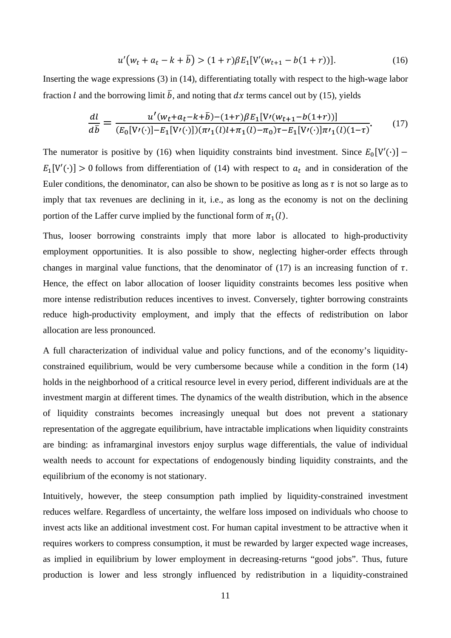$$
u'(w_t + a_t - k + \bar{b}) > (1+r)\beta E_1[V'(w_{t+1} - b(1+r))].
$$
 (16)

Inserting the wage expressions (3) in (14), differentiating totally with respect to the high-wage labor fraction l and the borrowing limit  $\bar{b}$ , and noting that dx terms cancel out by (15), yields

$$
\frac{dl}{d\bar{b}} = \frac{u'(w_t + a_t - k + \bar{b}) - (1+r)\beta E_1[V'(w_{t+1} - b(1+r))] }{(E_0[V'(\cdot)] - E_1[V'(\cdot)])(\pi r_1(l) + \pi_1(l) - \pi_0)\tau - E_1[V'(\cdot)]\pi r_1(l)(1-\tau)}.
$$
(17)

The numerator is positive by (16) when liquidity constraints bind investment. Since  $E_0[V'(\cdot)]$  –  $E_1[V'(\cdot)] > 0$  follows from differentiation of (14) with respect to  $a_t$  and in consideration of the Euler conditions, the denominator, can also be shown to be positive as long as  $\tau$  is not so large as to imply that tax revenues are declining in it, i.e., as long as the economy is not on the declining portion of the Laffer curve implied by the functional form of  $\pi_1(l)$ .

Thus, looser borrowing constraints imply that more labor is allocated to high-productivity employment opportunities. It is also possible to show, neglecting higher-order effects through changes in marginal value functions, that the denominator of (17) is an increasing function of  $\tau$ . Hence, the effect on labor allocation of looser liquidity constraints becomes less positive when more intense redistribution reduces incentives to invest. Conversely, tighter borrowing constraints reduce high-productivity employment, and imply that the effects of redistribution on labor allocation are less pronounced.

A full characterization of individual value and policy functions, and of the economy's liquidityconstrained equilibrium, would be very cumbersome because while a condition in the form (14) holds in the neighborhood of a critical resource level in every period, different individuals are at the investment margin at different times. The dynamics of the wealth distribution, which in the absence of liquidity constraints becomes increasingly unequal but does not prevent a stationary representation of the aggregate equilibrium, have intractable implications when liquidity constraints are binding: as inframarginal investors enjoy surplus wage differentials, the value of individual wealth needs to account for expectations of endogenously binding liquidity constraints, and the equilibrium of the economy is not stationary.

Intuitively, however, the steep consumption path implied by liquidity-constrained investment reduces welfare. Regardless of uncertainty, the welfare loss imposed on individuals who choose to invest acts like an additional investment cost. For human capital investment to be attractive when it requires workers to compress consumption, it must be rewarded by larger expected wage increases, as implied in equilibrium by lower employment in decreasing-returns "good jobs". Thus, future production is lower and less strongly influenced by redistribution in a liquidity-constrained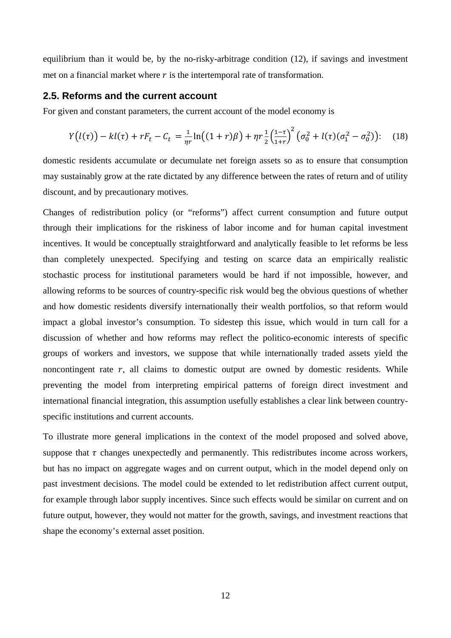equilibrium than it would be, by the no-risky-arbitrage condition (12), if savings and investment met on a financial market where  $r$  is the intertemporal rate of transformation.

## **2.5. Reforms and the current account**

For given and constant parameters, the current account of the model economy is

$$
Y(l(\tau)) - kl(\tau) + rF_t - C_t = \frac{1}{\eta r} \ln((1+r)\beta) + \eta r \frac{1}{2} \left(\frac{1-\tau}{1+r}\right)^2 \left(\sigma_0^2 + l(\tau)(\sigma_1^2 - \sigma_0^2)\right)
$$
 (18)

domestic residents accumulate or decumulate net foreign assets so as to ensure that consumption may sustainably grow at the rate dictated by any difference between the rates of return and of utility discount, and by precautionary motives.

Changes of redistribution policy (or "reforms") affect current consumption and future output through their implications for the riskiness of labor income and for human capital investment incentives. It would be conceptually straightforward and analytically feasible to let reforms be less than completely unexpected. Specifying and testing on scarce data an empirically realistic stochastic process for institutional parameters would be hard if not impossible, however, and allowing reforms to be sources of country-specific risk would beg the obvious questions of whether and how domestic residents diversify internationally their wealth portfolios, so that reform would impact a global investor's consumption. To sidestep this issue, which would in turn call for a discussion of whether and how reforms may reflect the politico-economic interests of specific groups of workers and investors, we suppose that while internationally traded assets yield the noncontingent rate  $r$ , all claims to domestic output are owned by domestic residents. While preventing the model from interpreting empirical patterns of foreign direct investment and international financial integration, this assumption usefully establishes a clear link between countryspecific institutions and current accounts.

To illustrate more general implications in the context of the model proposed and solved above, suppose that  $\tau$  changes unexpectedly and permanently. This redistributes income across workers, but has no impact on aggregate wages and on current output, which in the model depend only on past investment decisions. The model could be extended to let redistribution affect current output, for example through labor supply incentives. Since such effects would be similar on current and on future output, however, they would not matter for the growth, savings, and investment reactions that shape the economy's external asset position.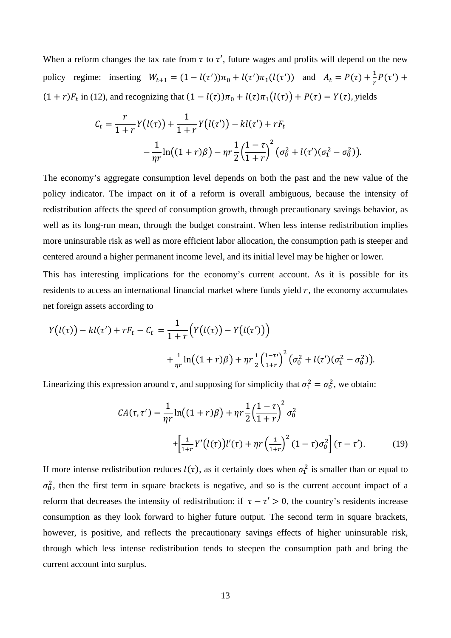When a reform changes the tax rate from  $\tau$  to  $\tau'$ , future wages and profits will depend on the new policy regime: inserting  $W_{t+1} = (1 - l(\tau'))\pi_0 + l(\tau')\pi_1(l(\tau'))$  and  $A_t = P(\tau) + \frac{1}{r}P(\tau') +$  $(1 + r)F_t$  in (12), and recognizing that  $(1 - l(\tau))\pi_0 + l(\tau)\pi_1(l(\tau)) + P(\tau) = Y(\tau)$ , yields

$$
C_t = \frac{r}{1+r} Y(l(\tau)) + \frac{1}{1+r} Y(l(\tau')) - kl(\tau') + rF_t
$$
  
- 
$$
\frac{1}{\eta r} \ln((1+r)\beta) - \eta r \frac{1}{2} \left(\frac{1-\tau}{1+r}\right)^2 (\sigma_0^2 + l(\tau')(\sigma_1^2 - \sigma_0^2)).
$$

The economy's aggregate consumption level depends on both the past and the new value of the policy indicator. The impact on it of a reform is overall ambiguous, because the intensity of redistribution affects the speed of consumption growth, through precautionary savings behavior, as well as its long-run mean, through the budget constraint. When less intense redistribution implies more uninsurable risk as well as more efficient labor allocation, the consumption path is steeper and centered around a higher permanent income level, and its initial level may be higher or lower.

This has interesting implications for the economy's current account. As it is possible for its residents to access an international financial market where funds yield  $r$ , the economy accumulates net foreign assets according to

$$
Y(l(\tau)) - kl(\tau') + rF_t - C_t = \frac{1}{1+r} \Big( Y(l(\tau)) - Y(l(\tau')) \Big) + \frac{1}{\eta r} \ln \Big( (1+r)\beta \Big) + \eta r \frac{1}{2} \Big( \frac{1-\tau'}{1+r} \Big)^2 \Big( \sigma_0^2 + l(\tau') (\sigma_1^2 - \sigma_0^2) \Big).
$$

Linearizing this expression around  $\tau$ , and supposing for simplicity that  $\sigma_1^2 = \sigma_0^2$ , we obtain:

$$
CA(\tau, \tau') = \frac{1}{\eta r} \ln((1+r)\beta) + \eta r \frac{1}{2} \left(\frac{1-\tau}{1+r}\right)^2 \sigma_0^2
$$
  
 
$$
+ \left[\frac{1}{1+r} Y'(l(\tau))l'(\tau) + \eta r \left(\frac{1}{1+r}\right)^2 (1-\tau)\sigma_0^2\right] (\tau - \tau'). \tag{19}
$$

If more intense redistribution reduces  $l(\tau)$ , as it certainly does when  $\sigma_1^2$  is smaller than or equal to  $\sigma_0^2$ , then the first term in square brackets is negative, and so is the current account impact of a reform that decreases the intensity of redistribution: if  $\tau - \tau' > 0$ , the country's residents increase consumption as they look forward to higher future output. The second term in square brackets, however, is positive, and reflects the precautionary savings effects of higher uninsurable risk, through which less intense redistribution tends to steepen the consumption path and bring the current account into surplus.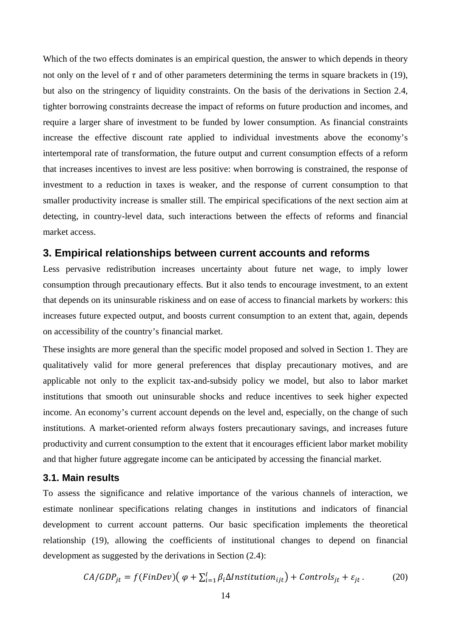Which of the two effects dominates is an empirical question, the answer to which depends in theory not only on the level of  $\tau$  and of other parameters determining the terms in square brackets in (19), but also on the stringency of liquidity constraints. On the basis of the derivations in Section 2.4, tighter borrowing constraints decrease the impact of reforms on future production and incomes, and require a larger share of investment to be funded by lower consumption. As financial constraints increase the effective discount rate applied to individual investments above the economy's intertemporal rate of transformation, the future output and current consumption effects of a reform that increases incentives to invest are less positive: when borrowing is constrained, the response of investment to a reduction in taxes is weaker, and the response of current consumption to that smaller productivity increase is smaller still. The empirical specifications of the next section aim at detecting, in country-level data, such interactions between the effects of reforms and financial market access.

#### **3. Empirical relationships between current accounts and reforms**

Less pervasive redistribution increases uncertainty about future net wage, to imply lower consumption through precautionary effects. But it also tends to encourage investment, to an extent that depends on its uninsurable riskiness and on ease of access to financial markets by workers: this increases future expected output, and boosts current consumption to an extent that, again, depends on accessibility of the country's financial market.

These insights are more general than the specific model proposed and solved in Section 1. They are qualitatively valid for more general preferences that display precautionary motives, and are applicable not only to the explicit tax-and-subsidy policy we model, but also to labor market institutions that smooth out uninsurable shocks and reduce incentives to seek higher expected income. An economy's current account depends on the level and, especially, on the change of such institutions. A market-oriented reform always fosters precautionary savings, and increases future productivity and current consumption to the extent that it encourages efficient labor market mobility and that higher future aggregate income can be anticipated by accessing the financial market.

#### **3.1. Main results**

To assess the significance and relative importance of the various channels of interaction, we estimate nonlinear specifications relating changes in institutions and indicators of financial development to current account patterns. Our basic specification implements the theoretical relationship (19), allowing the coefficients of institutional changes to depend on financial development as suggested by the derivations in Section (2.4):

$$
CA/GDP_{jt} = f(FinDev) \left( \varphi + \sum_{i=1}^{I} \beta_i \Delta Institution_{ijt} \right) + Controls_{jt} + \varepsilon_{jt} \,. \tag{20}
$$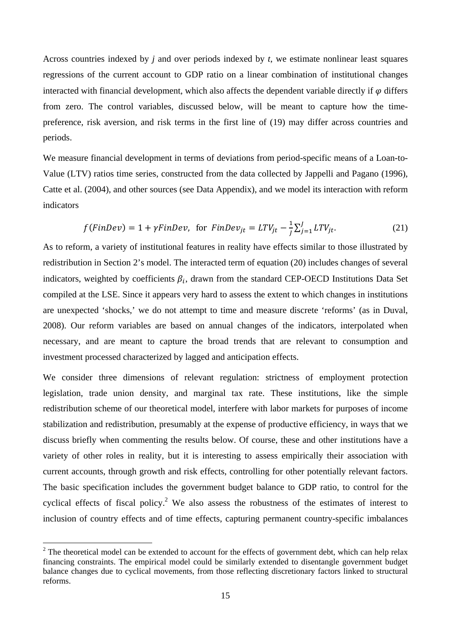Across countries indexed by *j* and over periods indexed by *t*, we estimate nonlinear least squares regressions of the current account to GDP ratio on a linear combination of institutional changes interacted with financial development, which also affects the dependent variable directly if  $\varphi$  differs from zero. The control variables, discussed below, will be meant to capture how the timepreference, risk aversion, and risk terms in the first line of (19) may differ across countries and periods.

We measure financial development in terms of deviations from period-specific means of a Loan-to-Value (LTV) ratios time series, constructed from the data collected by Jappelli and Pagano (1996), Catte et al. (2004), and other sources (see Data Appendix), and we model its interaction with reform indicators

$$
f(FinDev) = 1 + \gamma FinDev, \text{ for } FinDev_{jt} = LTV_{jt} - \frac{1}{j} \sum_{j=1}^{J} LTV_{jt}.
$$
 (21)

As to reform, a variety of institutional features in reality have effects similar to those illustrated by redistribution in Section 2's model. The interacted term of equation (20) includes changes of several indicators, weighted by coefficients  $\beta_i$ , drawn from the standard CEP-OECD Institutions Data Set compiled at the LSE. Since it appears very hard to assess the extent to which changes in institutions are unexpected 'shocks,' we do not attempt to time and measure discrete 'reforms' (as in Duval, 2008). Our reform variables are based on annual changes of the indicators, interpolated when necessary, and are meant to capture the broad trends that are relevant to consumption and investment processed characterized by lagged and anticipation effects.

We consider three dimensions of relevant regulation: strictness of employment protection legislation, trade union density, and marginal tax rate. These institutions, like the simple redistribution scheme of our theoretical model, interfere with labor markets for purposes of income stabilization and redistribution, presumably at the expense of productive efficiency, in ways that we discuss briefly when commenting the results below. Of course, these and other institutions have a variety of other roles in reality, but it is interesting to assess empirically their association with current accounts, through growth and risk effects, controlling for other potentially relevant factors. The basic specification includes the government budget balance to GDP ratio, to control for the cyclical effects of fiscal policy.<sup>2</sup> We also assess the robustness of the estimates of interest to inclusion of country effects and of time effects, capturing permanent country-specific imbalances

 $\overline{a}$ 

 $2^2$  The theoretical model can be extended to account for the effects of government debt, which can help relax financing constraints. The empirical model could be similarly extended to disentangle government budget balance changes due to cyclical movements, from those reflecting discretionary factors linked to structural reforms.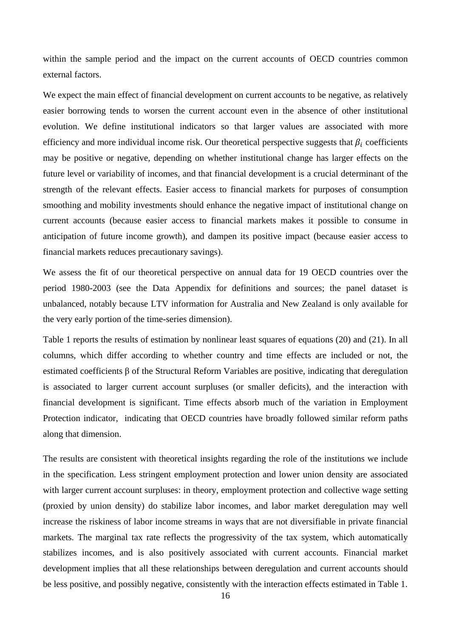within the sample period and the impact on the current accounts of OECD countries common external factors.

We expect the main effect of financial development on current accounts to be negative, as relatively easier borrowing tends to worsen the current account even in the absence of other institutional evolution. We define institutional indicators so that larger values are associated with more efficiency and more individual income risk. Our theoretical perspective suggests that  $\beta_i$  coefficients may be positive or negative, depending on whether institutional change has larger effects on the future level or variability of incomes, and that financial development is a crucial determinant of the strength of the relevant effects. Easier access to financial markets for purposes of consumption smoothing and mobility investments should enhance the negative impact of institutional change on current accounts (because easier access to financial markets makes it possible to consume in anticipation of future income growth), and dampen its positive impact (because easier access to financial markets reduces precautionary savings).

We assess the fit of our theoretical perspective on annual data for 19 OECD countries over the period 1980-2003 (see the Data Appendix for definitions and sources; the panel dataset is unbalanced, notably because LTV information for Australia and New Zealand is only available for the very early portion of the time-series dimension).

Table 1 reports the results of estimation by nonlinear least squares of equations (20) and (21). In all columns, which differ according to whether country and time effects are included or not, the estimated coefficients β of the Structural Reform Variables are positive, indicating that deregulation is associated to larger current account surpluses (or smaller deficits), and the interaction with financial development is significant. Time effects absorb much of the variation in Employment Protection indicator, indicating that OECD countries have broadly followed similar reform paths along that dimension.

The results are consistent with theoretical insights regarding the role of the institutions we include in the specification. Less stringent employment protection and lower union density are associated with larger current account surpluses: in theory, employment protection and collective wage setting (proxied by union density) do stabilize labor incomes, and labor market deregulation may well increase the riskiness of labor income streams in ways that are not diversifiable in private financial markets. The marginal tax rate reflects the progressivity of the tax system, which automatically stabilizes incomes, and is also positively associated with current accounts. Financial market development implies that all these relationships between deregulation and current accounts should be less positive, and possibly negative, consistently with the interaction effects estimated in Table 1.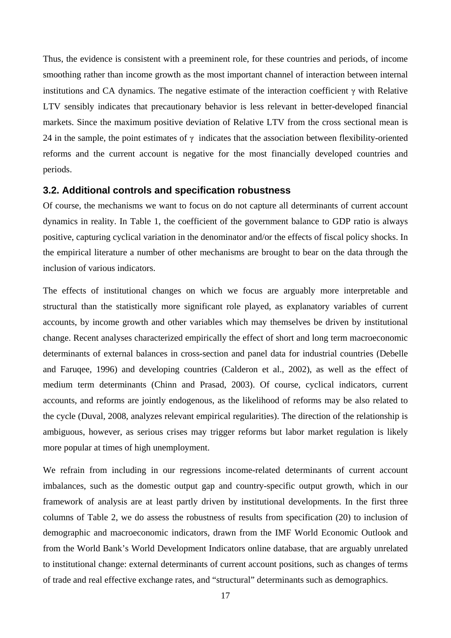Thus, the evidence is consistent with a preeminent role, for these countries and periods, of income smoothing rather than income growth as the most important channel of interaction between internal institutions and CA dynamics. The negative estimate of the interaction coefficient  $\gamma$  with Relative LTV sensibly indicates that precautionary behavior is less relevant in better-developed financial markets. Since the maximum positive deviation of Relative LTV from the cross sectional mean is 24 in the sample, the point estimates of  $\gamma$  indicates that the association between flexibility-oriented reforms and the current account is negative for the most financially developed countries and periods.

#### **3.2. Additional controls and specification robustness**

Of course, the mechanisms we want to focus on do not capture all determinants of current account dynamics in reality. In Table 1, the coefficient of the government balance to GDP ratio is always positive, capturing cyclical variation in the denominator and/or the effects of fiscal policy shocks. In the empirical literature a number of other mechanisms are brought to bear on the data through the inclusion of various indicators.

The effects of institutional changes on which we focus are arguably more interpretable and structural than the statistically more significant role played, as explanatory variables of current accounts, by income growth and other variables which may themselves be driven by institutional change. Recent analyses characterized empirically the effect of short and long term macroeconomic determinants of external balances in cross-section and panel data for industrial countries (Debelle and Faruqee, 1996) and developing countries (Calderon et al., 2002), as well as the effect of medium term determinants (Chinn and Prasad, 2003). Of course, cyclical indicators, current accounts, and reforms are jointly endogenous, as the likelihood of reforms may be also related to the cycle (Duval, 2008, analyzes relevant empirical regularities). The direction of the relationship is ambiguous, however, as serious crises may trigger reforms but labor market regulation is likely more popular at times of high unemployment.

We refrain from including in our regressions income-related determinants of current account imbalances, such as the domestic output gap and country-specific output growth, which in our framework of analysis are at least partly driven by institutional developments. In the first three columns of Table 2, we do assess the robustness of results from specification (20) to inclusion of demographic and macroeconomic indicators, drawn from the IMF World Economic Outlook and from the World Bank's World Development Indicators online database, that are arguably unrelated to institutional change: external determinants of current account positions, such as changes of terms of trade and real effective exchange rates, and "structural" determinants such as demographics.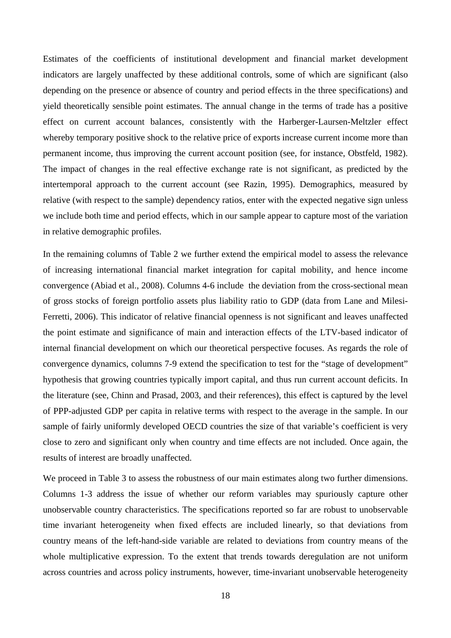Estimates of the coefficients of institutional development and financial market development indicators are largely unaffected by these additional controls, some of which are significant (also depending on the presence or absence of country and period effects in the three specifications) and yield theoretically sensible point estimates. The annual change in the terms of trade has a positive effect on current account balances, consistently with the Harberger-Laursen-Meltzler effect whereby temporary positive shock to the relative price of exports increase current income more than permanent income, thus improving the current account position (see, for instance, Obstfeld, 1982). The impact of changes in the real effective exchange rate is not significant, as predicted by the intertemporal approach to the current account (see Razin, 1995). Demographics, measured by relative (with respect to the sample) dependency ratios, enter with the expected negative sign unless we include both time and period effects, which in our sample appear to capture most of the variation in relative demographic profiles.

In the remaining columns of Table 2 we further extend the empirical model to assess the relevance of increasing international financial market integration for capital mobility, and hence income convergence (Abiad et al., 2008). Columns 4-6 include the deviation from the cross-sectional mean of gross stocks of foreign portfolio assets plus liability ratio to GDP (data from Lane and Milesi-Ferretti, 2006). This indicator of relative financial openness is not significant and leaves unaffected the point estimate and significance of main and interaction effects of the LTV-based indicator of internal financial development on which our theoretical perspective focuses. As regards the role of convergence dynamics, columns 7-9 extend the specification to test for the "stage of development" hypothesis that growing countries typically import capital, and thus run current account deficits. In the literature (see, Chinn and Prasad, 2003, and their references), this effect is captured by the level of PPP-adjusted GDP per capita in relative terms with respect to the average in the sample. In our sample of fairly uniformly developed OECD countries the size of that variable's coefficient is very close to zero and significant only when country and time effects are not included. Once again, the results of interest are broadly unaffected.

We proceed in Table 3 to assess the robustness of our main estimates along two further dimensions. Columns 1-3 address the issue of whether our reform variables may spuriously capture other unobservable country characteristics. The specifications reported so far are robust to unobservable time invariant heterogeneity when fixed effects are included linearly, so that deviations from country means of the left-hand-side variable are related to deviations from country means of the whole multiplicative expression. To the extent that trends towards deregulation are not uniform across countries and across policy instruments, however, time-invariant unobservable heterogeneity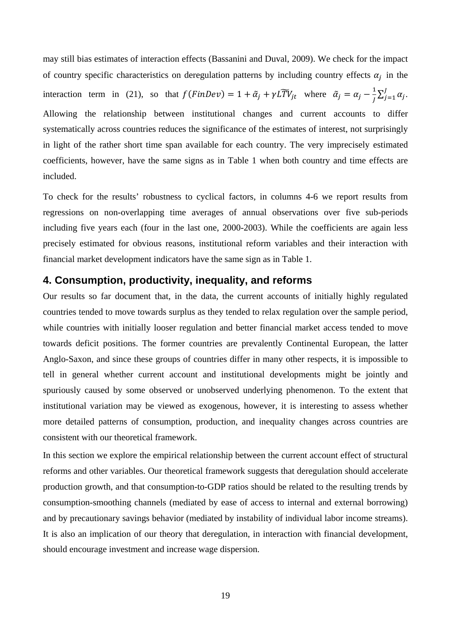may still bias estimates of interaction effects (Bassanini and Duval, 2009). We check for the impact of country specific characteristics on deregulation patterns by including country effects  $\alpha_i$  in the interaction term in (21), so that  $f(FinDev) = 1 + \tilde{\alpha}_j + \gamma L \tilde{T} V_{jt}$  where  $\tilde{\alpha}_j = \alpha_j - \frac{1}{j} \sum_{j=1}^j \alpha_j$  $J_{j=1} \alpha_j$ . Allowing the relationship between institutional changes and current accounts to differ systematically across countries reduces the significance of the estimates of interest, not surprisingly in light of the rather short time span available for each country. The very imprecisely estimated coefficients, however, have the same signs as in Table 1 when both country and time effects are included.

To check for the results' robustness to cyclical factors, in columns 4-6 we report results from regressions on non-overlapping time averages of annual observations over five sub-periods including five years each (four in the last one, 2000-2003). While the coefficients are again less precisely estimated for obvious reasons, institutional reform variables and their interaction with financial market development indicators have the same sign as in Table 1.

# **4. Consumption, productivity, inequality, and reforms**

Our results so far document that, in the data, the current accounts of initially highly regulated countries tended to move towards surplus as they tended to relax regulation over the sample period, while countries with initially looser regulation and better financial market access tended to move towards deficit positions. The former countries are prevalently Continental European, the latter Anglo-Saxon, and since these groups of countries differ in many other respects, it is impossible to tell in general whether current account and institutional developments might be jointly and spuriously caused by some observed or unobserved underlying phenomenon. To the extent that institutional variation may be viewed as exogenous, however, it is interesting to assess whether more detailed patterns of consumption, production, and inequality changes across countries are consistent with our theoretical framework.

In this section we explore the empirical relationship between the current account effect of structural reforms and other variables. Our theoretical framework suggests that deregulation should accelerate production growth, and that consumption-to-GDP ratios should be related to the resulting trends by consumption-smoothing channels (mediated by ease of access to internal and external borrowing) and by precautionary savings behavior (mediated by instability of individual labor income streams). It is also an implication of our theory that deregulation, in interaction with financial development, should encourage investment and increase wage dispersion.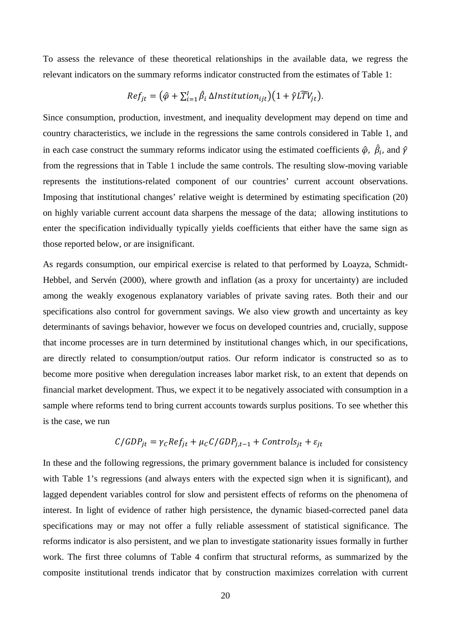To assess the relevance of these theoretical relationships in the available data, we regress the relevant indicators on the summary reforms indicator constructed from the estimates of Table 1:

$$
Ref_{jt} = (\hat{\varphi} + \sum_{i=1}^{I} \hat{\beta}_i \Delta Institution_{ijt})(1 + \hat{\gamma}L\widetilde{TV}_{jt}).
$$

Since consumption, production, investment, and inequality development may depend on time and country characteristics, we include in the regressions the same controls considered in Table 1, and in each case construct the summary reforms indicator using the estimated coefficients  $\hat{\varphi}$ ,  $\hat{\beta}_i$ , and  $\hat{\gamma}$ from the regressions that in Table 1 include the same controls. The resulting slow-moving variable represents the institutions-related component of our countries' current account observations. Imposing that institutional changes' relative weight is determined by estimating specification (20) on highly variable current account data sharpens the message of the data; allowing institutions to enter the specification individually typically yields coefficients that either have the same sign as those reported below, or are insignificant.

As regards consumption, our empirical exercise is related to that performed by Loayza, Schmidt-Hebbel, and Servén (2000), where growth and inflation (as a proxy for uncertainty) are included among the weakly exogenous explanatory variables of private saving rates. Both their and our specifications also control for government savings. We also view growth and uncertainty as key determinants of savings behavior, however we focus on developed countries and, crucially, suppose that income processes are in turn determined by institutional changes which, in our specifications, are directly related to consumption/output ratios. Our reform indicator is constructed so as to become more positive when deregulation increases labor market risk, to an extent that depends on financial market development. Thus, we expect it to be negatively associated with consumption in a sample where reforms tend to bring current accounts towards surplus positions. To see whether this is the case, we run

$$
C/GDP_{jt} = \gamma_C Ref_{jt} + \mu_C C/GDP_{j,t-1} + \text{Controls}_{jt} + \varepsilon_{jt}
$$

In these and the following regressions, the primary government balance is included for consistency with Table 1's regressions (and always enters with the expected sign when it is significant), and lagged dependent variables control for slow and persistent effects of reforms on the phenomena of interest. In light of evidence of rather high persistence, the dynamic biased-corrected panel data specifications may or may not offer a fully reliable assessment of statistical significance. The reforms indicator is also persistent, and we plan to investigate stationarity issues formally in further work. The first three columns of Table 4 confirm that structural reforms, as summarized by the composite institutional trends indicator that by construction maximizes correlation with current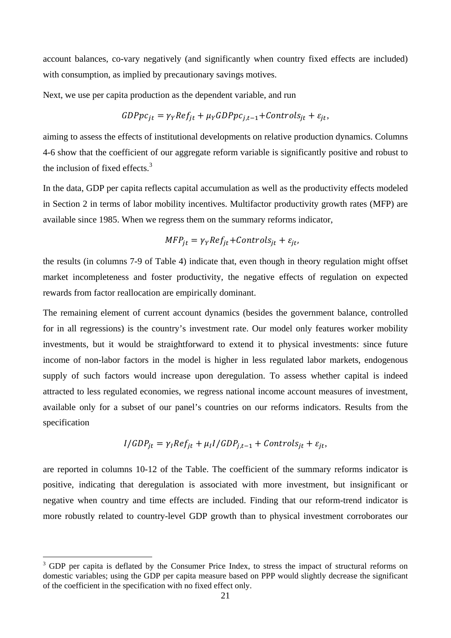account balances, co-vary negatively (and significantly when country fixed effects are included) with consumption, as implied by precautionary savings motives.

Next, we use per capita production as the dependent variable, and run

$$
GDPpc_{jt} = \gamma_Y Ref_{jt} + \mu_Y GDPpc_{j,t-1} + Controls_{jt} + \varepsilon_{jt},
$$

aiming to assess the effects of institutional developments on relative production dynamics. Columns 4-6 show that the coefficient of our aggregate reform variable is significantly positive and robust to the inclusion of fixed effects. $3$ 

In the data, GDP per capita reflects capital accumulation as well as the productivity effects modeled in Section 2 in terms of labor mobility incentives. Multifactor productivity growth rates (MFP) are available since 1985. When we regress them on the summary reforms indicator,

$$
MFP_{jt} = \gamma_Y Ref_{jt} + Controls_{jt} + \varepsilon_{jt},
$$

the results (in columns 7-9 of Table 4) indicate that, even though in theory regulation might offset market incompleteness and foster productivity, the negative effects of regulation on expected rewards from factor reallocation are empirically dominant.

The remaining element of current account dynamics (besides the government balance, controlled for in all regressions) is the country's investment rate. Our model only features worker mobility investments, but it would be straightforward to extend it to physical investments: since future income of non-labor factors in the model is higher in less regulated labor markets, endogenous supply of such factors would increase upon deregulation. To assess whether capital is indeed attracted to less regulated economies, we regress national income account measures of investment, available only for a subset of our panel's countries on our reforms indicators. Results from the specification

$$
I/GDP_{jt} = \gamma_I Ref_{jt} + \mu_I I/GDP_{j,t-1} + Controls_{jt} + \varepsilon_{jt},
$$

are reported in columns 10-12 of the Table. The coefficient of the summary reforms indicator is positive, indicating that deregulation is associated with more investment, but insignificant or negative when country and time effects are included. Finding that our reform-trend indicator is more robustly related to country-level GDP growth than to physical investment corroborates our

 $\overline{a}$ 

<sup>&</sup>lt;sup>3</sup> GDP per capita is deflated by the Consumer Price Index, to stress the impact of structural reforms on domestic variables; using the GDP per capita measure based on PPP would slightly decrease the significant of the coefficient in the specification with no fixed effect only.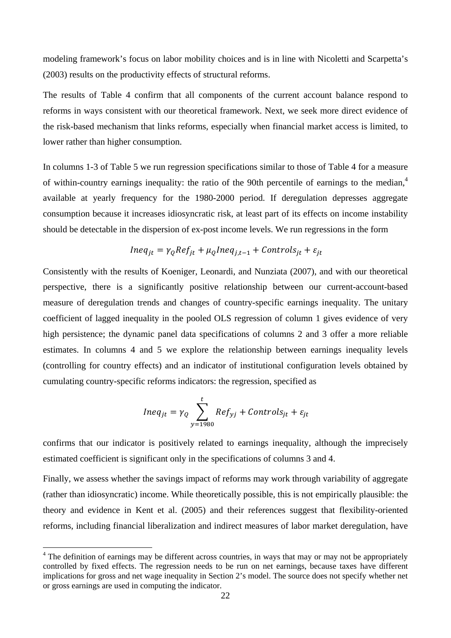modeling framework's focus on labor mobility choices and is in line with Nicoletti and Scarpetta's (2003) results on the productivity effects of structural reforms.

The results of Table 4 confirm that all components of the current account balance respond to reforms in ways consistent with our theoretical framework. Next, we seek more direct evidence of the risk-based mechanism that links reforms, especially when financial market access is limited, to lower rather than higher consumption.

In columns 1-3 of Table 5 we run regression specifications similar to those of Table 4 for a measure of within-country earnings inequality: the ratio of the 90th percentile of earnings to the median,<sup>4</sup> available at yearly frequency for the 1980-2000 period. If deregulation depresses aggregate consumption because it increases idiosyncratic risk, at least part of its effects on income instability should be detectable in the dispersion of ex-post income levels. We run regressions in the form

$$
Ineq_{jt} = \gamma_Q Ref_{jt} + \mu_Q Ineq_{j,t-1} + Controls_{jt} + \varepsilon_{jt}
$$

Consistently with the results of Koeniger, Leonardi, and Nunziata (2007), and with our theoretical perspective, there is a significantly positive relationship between our current-account-based measure of deregulation trends and changes of country-specific earnings inequality. The unitary coefficient of lagged inequality in the pooled OLS regression of column 1 gives evidence of very high persistence; the dynamic panel data specifications of columns 2 and 3 offer a more reliable estimates. In columns 4 and 5 we explore the relationship between earnings inequality levels (controlling for country effects) and an indicator of institutional configuration levels obtained by cumulating country-specific reforms indicators: the regression, specified as

$$
Ineq_{jt} = \gamma_Q \sum_{y=1980}^{t} Ref_{yj} + Controls_{jt} + \varepsilon_{jt}
$$

confirms that our indicator is positively related to earnings inequality, although the imprecisely estimated coefficient is significant only in the specifications of columns 3 and 4.

Finally, we assess whether the savings impact of reforms may work through variability of aggregate (rather than idiosyncratic) income. While theoretically possible, this is not empirically plausible: the theory and evidence in Kent et al. (2005) and their references suggest that flexibility-oriented reforms, including financial liberalization and indirect measures of labor market deregulation, have

 $\overline{a}$ 

<sup>&</sup>lt;sup>4</sup> The definition of earnings may be different across countries, in ways that may or may not be appropriately controlled by fixed effects. The regression needs to be run on net earnings, because taxes have different implications for gross and net wage inequality in Section 2's model. The source does not specify whether net or gross earnings are used in computing the indicator.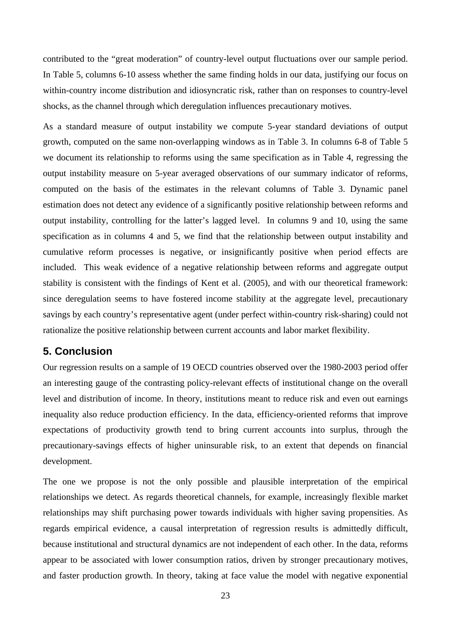contributed to the "great moderation" of country-level output fluctuations over our sample period. In Table 5, columns 6-10 assess whether the same finding holds in our data, justifying our focus on within-country income distribution and idiosyncratic risk, rather than on responses to country-level shocks, as the channel through which deregulation influences precautionary motives.

As a standard measure of output instability we compute 5-year standard deviations of output growth, computed on the same non-overlapping windows as in Table 3. In columns 6-8 of Table 5 we document its relationship to reforms using the same specification as in Table 4, regressing the output instability measure on 5-year averaged observations of our summary indicator of reforms, computed on the basis of the estimates in the relevant columns of Table 3. Dynamic panel estimation does not detect any evidence of a significantly positive relationship between reforms and output instability, controlling for the latter's lagged level. In columns 9 and 10, using the same specification as in columns 4 and 5, we find that the relationship between output instability and cumulative reform processes is negative, or insignificantly positive when period effects are included. This weak evidence of a negative relationship between reforms and aggregate output stability is consistent with the findings of Kent et al. (2005), and with our theoretical framework: since deregulation seems to have fostered income stability at the aggregate level, precautionary savings by each country's representative agent (under perfect within-country risk-sharing) could not rationalize the positive relationship between current accounts and labor market flexibility.

# **5. Conclusion**

Our regression results on a sample of 19 OECD countries observed over the 1980-2003 period offer an interesting gauge of the contrasting policy-relevant effects of institutional change on the overall level and distribution of income. In theory, institutions meant to reduce risk and even out earnings inequality also reduce production efficiency. In the data, efficiency-oriented reforms that improve expectations of productivity growth tend to bring current accounts into surplus, through the precautionary-savings effects of higher uninsurable risk, to an extent that depends on financial development.

The one we propose is not the only possible and plausible interpretation of the empirical relationships we detect. As regards theoretical channels, for example, increasingly flexible market relationships may shift purchasing power towards individuals with higher saving propensities. As regards empirical evidence, a causal interpretation of regression results is admittedly difficult, because institutional and structural dynamics are not independent of each other. In the data, reforms appear to be associated with lower consumption ratios, driven by stronger precautionary motives, and faster production growth. In theory, taking at face value the model with negative exponential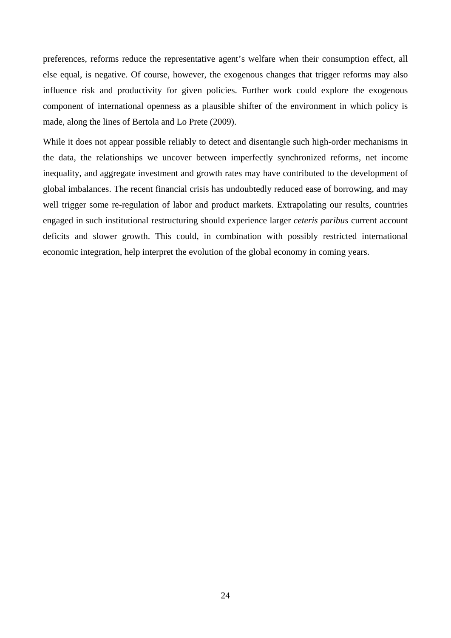preferences, reforms reduce the representative agent's welfare when their consumption effect, all else equal, is negative. Of course, however, the exogenous changes that trigger reforms may also influence risk and productivity for given policies. Further work could explore the exogenous component of international openness as a plausible shifter of the environment in which policy is made, along the lines of Bertola and Lo Prete (2009).

While it does not appear possible reliably to detect and disentangle such high-order mechanisms in the data, the relationships we uncover between imperfectly synchronized reforms, net income inequality, and aggregate investment and growth rates may have contributed to the development of global imbalances. The recent financial crisis has undoubtedly reduced ease of borrowing, and may well trigger some re-regulation of labor and product markets. Extrapolating our results, countries engaged in such institutional restructuring should experience larger *ceteris paribus* current account deficits and slower growth. This could, in combination with possibly restricted international economic integration, help interpret the evolution of the global economy in coming years.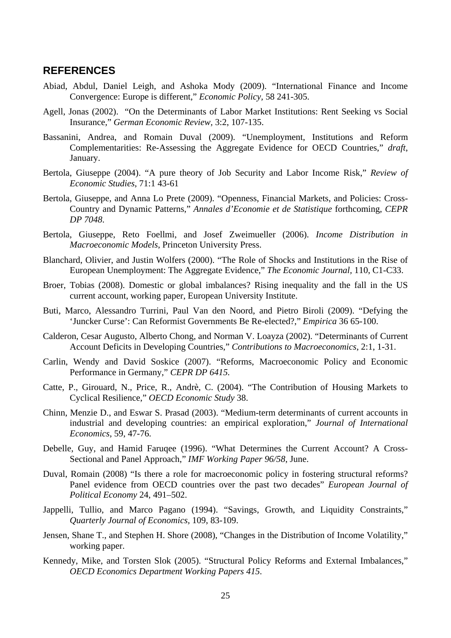# **REFERENCES**

- Abiad, Abdul, Daniel Leigh, and Ashoka Mody (2009). "International Finance and Income Convergence: Europe is different," *Economic Policy,* 58 241-305.
- Agell, Jonas (2002). "On the Determinants of Labor Market Institutions: Rent Seeking vs Social Insurance," *German Economic Review,* 3:2, 107-135.
- Bassanini, Andrea, and Romain Duval (2009). "Unemployment, Institutions and Reform Complementarities: Re-Assessing the Aggregate Evidence for OECD Countries," *draft*, January.
- Bertola, Giuseppe (2004). "A pure theory of Job Security and Labor Income Risk," *Review of Economic Studies*, 71:1 43-61
- Bertola, Giuseppe, and Anna Lo Prete (2009). "Openness, Financial Markets, and Policies: Cross-Country and Dynamic Patterns," *Annales d'Economie et de Statistique* forthcoming, *CEPR DP 7048*.
- Bertola, Giuseppe, Reto Foellmi, and Josef Zweimueller (2006). *Income Distribution in Macroeconomic Models*, Princeton University Press.
- Blanchard, Olivier, and Justin Wolfers (2000). "The Role of Shocks and Institutions in the Rise of European Unemployment: The Aggregate Evidence," *The Economic Journal,* 110, C1-C33.
- Broer, Tobias (2008). Domestic or global imbalances? Rising inequality and the fall in the US current account, working paper, European University Institute.
- Buti, Marco, Alessandro Turrini, Paul Van den Noord, and Pietro Biroli (2009). "Defying the 'Juncker Curse': Can Reformist Governments Be Re-elected?," *Empirica* 36 65-100.
- Calderon, Cesar Augusto, Alberto Chong, and Norman V. Loayza (2002). "Determinants of Current Account Deficits in Developing Countries," *Contributions to Macroeconomics*, 2:1, 1-31.
- Carlin, Wendy and David Soskice (2007). "Reforms, Macroeconomic Policy and Economic Performance in Germany," *CEPR DP 6415.*
- Catte, P., Girouard, N., Price, R., Andrè, C. (2004). "The Contribution of Housing Markets to Cyclical Resilience," *OECD Economic Study* 38.
- Chinn, Menzie D., and Eswar S. Prasad (2003). "Medium-term determinants of current accounts in industrial and developing countries: an empirical exploration," *Journal of International Economics*, 59, 47-76.
- Debelle, Guy, and Hamid Faruqee (1996). "What Determines the Current Account? A Cross-Sectional and Panel Approach," *IMF Working Paper 96/58*, June.
- Duval, Romain (2008) "Is there a role for macroeconomic policy in fostering structural reforms? Panel evidence from OECD countries over the past two decades" *European Journal of Political Economy* 24, 491–502.
- Jappelli, Tullio, and Marco Pagano (1994). "Savings, Growth, and Liquidity Constraints," *Quarterly Journal of Economics,* 109, 83-109.
- Jensen, Shane T., and Stephen H. Shore (2008), "Changes in the Distribution of Income Volatility," working paper.
- Kennedy, Mike, and Torsten Slok (2005). "Structural Policy Reforms and External Imbalances," *OECD Economics Department Working Papers 415*.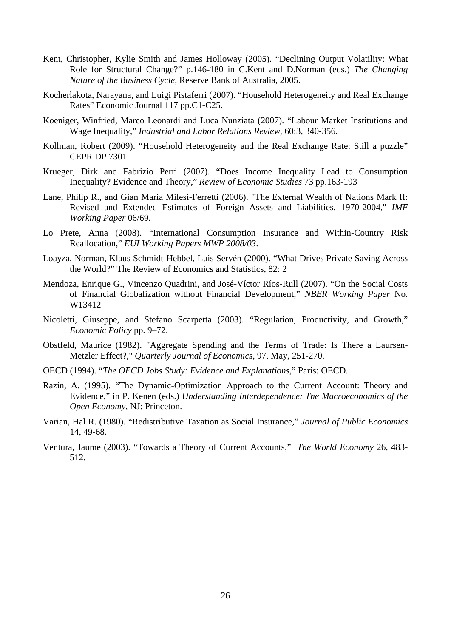- Kent, Christopher, Kylie Smith and James Holloway (2005). "Declining Output Volatility: What Role for Structural Change?" p.146-180 in C.Kent and D.Norman (eds.) *The Changing Nature of the Business Cycle*, Reserve Bank of Australia, 2005.
- Kocherlakota, Narayana, and Luigi Pistaferri (2007). "Household Heterogeneity and Real Exchange Rates" Economic Journal 117 pp.C1-C25.
- Koeniger, Winfried, Marco Leonardi and Luca Nunziata (2007). "Labour Market Institutions and Wage Inequality," *Industrial and Labor Relations Review*, 60:3, 340‐356.
- Kollman, Robert (2009). "Household Heterogeneity and the Real Exchange Rate: Still a puzzle" CEPR DP 7301.
- Krueger, Dirk and Fabrizio Perri (2007). "Does Income Inequality Lead to Consumption Inequality? Evidence and Theory," *Review of Economic Studies* 73 pp.163-193
- Lane, Philip R., and Gian Maria Milesi-Ferretti (2006). "The External Wealth of Nations Mark II: Revised and Extended Estimates of Foreign Assets and Liabilities, 1970-2004," *IMF Working Paper* 06/69.
- Lo Prete, Anna (2008). "International Consumption Insurance and Within-Country Risk Reallocation," *EUI Working Papers MWP 2008/03*.
- Loayza, Norman, Klaus Schmidt-Hebbel, Luis Servén (2000). "What Drives Private Saving Across the World?" The Review of Economics and Statistics, 82: 2
- Mendoza, Enrique G., Vincenzo Quadrini, and José-Víctor Ríos-Rull (2007). "On the Social Costs of Financial Globalization without Financial Development," *NBER Working Paper* No. W13412
- Nicoletti, Giuseppe, and Stefano Scarpetta (2003). "Regulation, Productivity, and Growth," *Economic Policy* pp. 9–72.
- Obstfeld, Maurice (1982). "Aggregate Spending and the Terms of Trade: Is There a Laursen-Metzler Effect?," *Quarterly Journal of Economics,* 97, May, 251-270.
- OECD (1994). "*The OECD Jobs Study: Evidence and Explanations*," Paris: OECD.
- Razin, A. (1995). "The Dynamic-Optimization Approach to the Current Account: Theory and Evidence," in P. Kenen (eds.) *Understanding Interdependence: The Macroeconomics of the Open Economy*, NJ: Princeton.
- Varian, Hal R. (1980). "Redistributive Taxation as Social Insurance," *Journal of Public Economics* 14, 49-68.
- Ventura, Jaume (2003). "Towards a Theory of Current Accounts," *The World Economy* 26, 483- 512.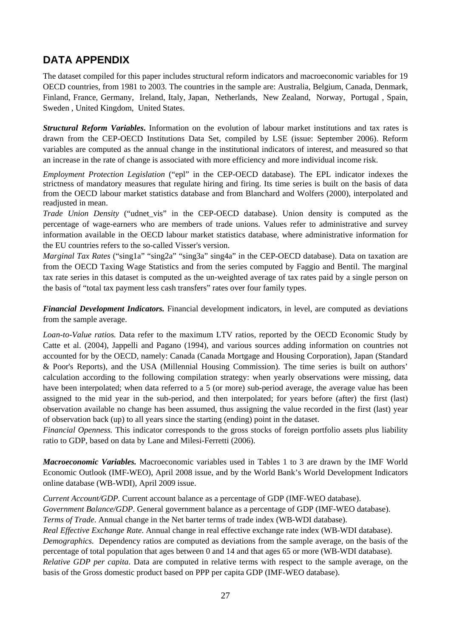# **DATA APPENDIX**

The dataset compiled for this paper includes structural reform indicators and macroeconomic variables for 19 OECD countries, from 1981 to 2003. The countries in the sample are: Australia, Belgium, Canada, Denmark, Finland, France, Germany, Ireland, Italy, Japan, Netherlands, New Zealand, Norway, Portugal , Spain, Sweden , United Kingdom, United States.

*Structural Reform Variables***.** Information on the evolution of labour market institutions and tax rates is drawn from the CEP-OECD Institutions Data Set, compiled by LSE (issue: September 2006). Reform variables are computed as the annual change in the institutional indicators of interest, and measured so that an increase in the rate of change is associated with more efficiency and more individual income risk.

*Employment Protection Legislation* ("epl" in the CEP-OECD database). The EPL indicator indexes the strictness of mandatory measures that regulate hiring and firing. Its time series is built on the basis of data from the OECD labour market statistics database and from Blanchard and Wolfers (2000), interpolated and readjusted in mean.

*Trade Union Density* ("udnet vis" in the CEP-OECD database). Union density is computed as the percentage of wage-earners who are members of trade unions. Values refer to administrative and survey information available in the OECD labour market statistics database, where administrative information for the EU countries refers to the so-called Visser's version.

*Marginal Tax Rates* ("sing1a" "sing2a" "sing3a" sing4a" in the CEP-OECD database). Data on taxation are from the OECD Taxing Wage Statistics and from the series computed by Faggio and Bentil. The marginal tax rate series in this dataset is computed as the un-weighted average of tax rates paid by a single person on the basis of "total tax payment less cash transfers" rates over four family types.

*Financial Development Indicators.* Financial development indicators, in level, are computed as deviations from the sample average.

*Loan-to-Value ratios.* Data refer to the maximum LTV ratios, reported by the OECD Economic Study by Catte et al. (2004), Jappelli and Pagano (1994), and various sources adding information on countries not accounted for by the OECD, namely: Canada (Canada Mortgage and Housing Corporation), Japan (Standard & Poor's Reports), and the USA (Millennial Housing Commission). The time series is built on authors' calculation according to the following compilation strategy: when yearly observations were missing, data have been interpolated; when data referred to a 5 (or more) sub-period average, the average value has been assigned to the mid year in the sub-period, and then interpolated; for years before (after) the first (last) observation available no change has been assumed, thus assigning the value recorded in the first (last) year of observation back (up) to all years since the starting (ending) point in the dataset.

*Financial Openness.* This indicator corresponds to the gross stocks of foreign portfolio assets plus liability ratio to GDP, based on data by Lane and Milesi-Ferretti (2006).

*Macroeconomic Variables.* Macroeconomic variables used in Tables 1 to 3 are drawn by the IMF World Economic Outlook (IMF-WEO), April 2008 issue, and by the World Bank's World Development Indicators online database (WB-WDI), April 2009 issue.

*Current Account/GDP.* Current account balance as a percentage of GDP (IMF-WEO database). *Government Balance/GDP*. General government balance as a percentage of GDP (IMF-WEO database). *Terms of Trade*. Annual change in the Net barter terms of trade index (WB-WDI database).

*Real Effective Exchange Rate*. Annual change in real effective exchange rate index (WB-WDI database). *Demographics.* Dependency ratios are computed as deviations from the sample average, on the basis of the percentage of total population that ages between 0 and 14 and that ages 65 or more (WB-WDI database). *Relative GDP per capita*. Data are computed in relative terms with respect to the sample average, on the basis of the Gross domestic product based on PPP per capita GDP (IMF-WEO database).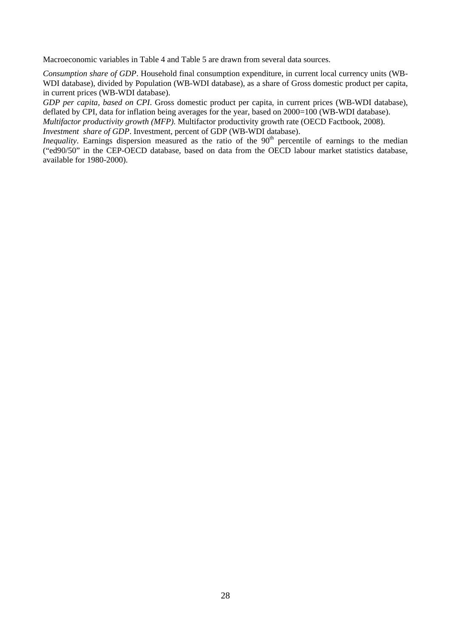Macroeconomic variables in Table 4 and Table 5 are drawn from several data sources.

*Consumption share of GDP*. Household final consumption expenditure, in current local currency units (WB-WDI database), divided by Population (WB-WDI database), as a share of Gross domestic product per capita, in current prices (WB-WDI database).

*GDP per capita, based on CPI*. Gross domestic product per capita, in current prices (WB-WDI database), deflated by CPI, data for inflation being averages for the year, based on 2000=100 (WB-WDI database).

*Multifactor productivity growth (MFP).* Multifactor productivity growth rate (OECD Factbook, 2008).

*Investment share of GDP*. Investment, percent of GDP (WB-WDI database).

*Inequality*. Earnings dispersion measured as the ratio of the 90<sup>th</sup> percentile of earnings to the median ("ed90/50" in the CEP-OECD database, based on data from the OECD labour market statistics database, available for 1980-2000).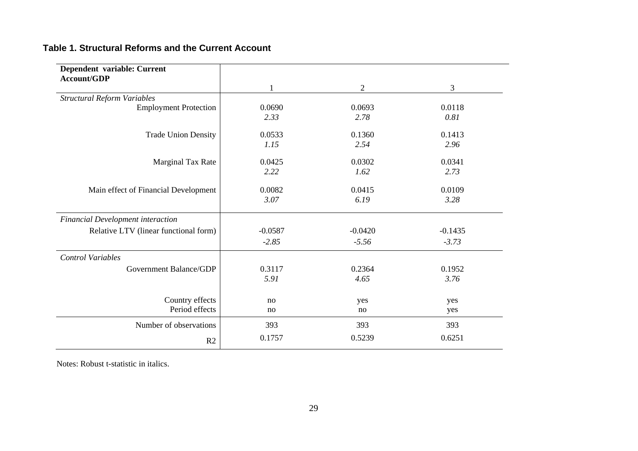#### **Table 1. Structural Reforms and the Current Account**

| Dependent variable: Current<br>Account/GDP |           |                |           |
|--------------------------------------------|-----------|----------------|-----------|
|                                            |           | $\overline{2}$ | 3         |
| <b>Structural Reform Variables</b>         |           |                |           |
| <b>Employment Protection</b>               | 0.0690    | 0.0693         | 0.0118    |
|                                            | 2.33      | 2.78           | 0.81      |
| <b>Trade Union Density</b>                 | 0.0533    | 0.1360         | 0.1413    |
|                                            | 1.15      | 2.54           | 2.96      |
| Marginal Tax Rate                          | 0.0425    | 0.0302         | 0.0341    |
|                                            | 2.22      | 1.62           | 2.73      |
| Main effect of Financial Development       | 0.0082    | 0.0415         | 0.0109    |
|                                            | 3.07      | 6.19           | 3.28      |
| Financial Development interaction          |           |                |           |
| Relative LTV (linear functional form)      | $-0.0587$ | $-0.0420$      | $-0.1435$ |
|                                            | $-2.85$   | $-5.56$        | $-3.73$   |
| <b>Control Variables</b>                   |           |                |           |
| Government Balance/GDP                     | 0.3117    | 0.2364         | 0.1952    |
|                                            | 5.91      | 4.65           | 3.76      |
| Country effects                            | no        | yes            | yes       |
| Period effects                             | no        | no             | yes       |
| Number of observations                     | 393       | 393            | 393       |
| R2                                         | 0.1757    | 0.5239         | 0.6251    |

Notes: Robust t-statistic in italics.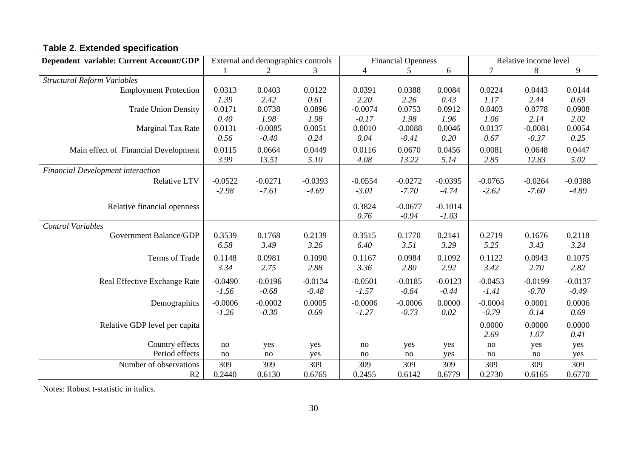# **Table 2. Extended specification**

| Dependent variable: Current Account/GDP  |           | External and demographics controls |           |                | <b>Financial Openness</b> |           | Relative income level |           |           |  |
|------------------------------------------|-----------|------------------------------------|-----------|----------------|---------------------------|-----------|-----------------------|-----------|-----------|--|
|                                          |           | 2                                  | 3         | $\overline{4}$ | 5                         | 6         | 7                     | 8         | 9         |  |
| <b>Structural Reform Variables</b>       |           |                                    |           |                |                           |           |                       |           |           |  |
| <b>Employment Protection</b>             | 0.0313    | 0.0403                             | 0.0122    | 0.0391         | 0.0388                    | 0.0084    | 0.0224                | 0.0443    | 0.0144    |  |
|                                          | 1.39      | 2.42                               | 0.61      | 2.20           | 2.26                      | 0.43      | 1.17                  | 2.44      | 0.69      |  |
| <b>Trade Union Density</b>               | 0.0171    | 0.0738                             | 0.0896    | $-0.0074$      | 0.0753                    | 0.0912    | 0.0403                | 0.0778    | 0.0908    |  |
|                                          | 0.40      | 1.98                               | 1.98      | $-0.17$        | 1.98                      | 1.96      | 1.06                  | 2.14      | 2.02      |  |
| Marginal Tax Rate                        | 0.0131    | $-0.0085$                          | 0.0051    | 0.0010         | $-0.0088$                 | 0.0046    | 0.0137                | $-0.0081$ | 0.0054    |  |
|                                          | 0.56      | $-0.40$                            | 0.24      | 0.04           | $-0.41$                   | 0.20      | 0.67                  | $-0.37$   | 0.25      |  |
| Main effect of Financial Development     | 0.0115    | 0.0664                             | 0.0449    | 0.0116         | 0.0670                    | 0.0456    | 0.0081                | 0.0648    | 0.0447    |  |
|                                          | 3.99      | 13.51                              | 5.10      | 4.08           | 13.22                     | 5.14      | 2.85                  | 12.83     | 5.02      |  |
| <b>Financial Development interaction</b> |           |                                    |           |                |                           |           |                       |           |           |  |
| <b>Relative LTV</b>                      | $-0.0522$ | $-0.0271$                          | $-0.0393$ | $-0.0554$      | $-0.0272$                 | $-0.0395$ | $-0.0765$             | $-0.0264$ | $-0.0388$ |  |
|                                          | $-2.98$   | $-7.61$                            | $-4.69$   | $-3.01$        | $-7.70$                   | $-4.74$   | $-2.62$               | $-7.60$   | $-4.89$   |  |
|                                          |           |                                    |           |                |                           |           |                       |           |           |  |
| Relative financial openness              |           |                                    |           | 0.3824         | $-0.0677$                 | $-0.1014$ |                       |           |           |  |
|                                          |           |                                    |           | 0.76           | $-0.94$                   | $-1.03$   |                       |           |           |  |
| <b>Control Variables</b>                 |           |                                    |           |                |                           |           |                       |           |           |  |
| Government Balance/GDP                   | 0.3539    | 0.1768                             | 0.2139    | 0.3515         | 0.1770                    | 0.2141    | 0.2719                | 0.1676    | 0.2118    |  |
|                                          | 6.58      | 3.49                               | 3.26      | 6.40           | 3.51                      | 3.29      | 5.25                  | 3.43      | 3.24      |  |
| Terms of Trade                           | 0.1148    | 0.0981                             | 0.1090    | 0.1167         | 0.0984                    | 0.1092    | 0.1122                | 0.0943    | 0.1075    |  |
|                                          | 3.34      | 2.75                               | 2.88      | 3.36           | 2.80                      | 2.92      | 3.42                  | 2.70      | 2.82      |  |
| Real Effective Exchange Rate             | $-0.0490$ | $-0.0196$                          | $-0.0134$ | $-0.0501$      | $-0.0185$                 | $-0.0123$ | $-0.0453$             | $-0.0199$ | $-0.0137$ |  |
|                                          | $-1.56$   | $-0.68$                            | $-0.48$   | $-1.57$        | $-0.64$                   | $-0.44$   | $-1.41$               | $-0.70$   | $-0.49$   |  |
| Demographics                             | $-0.0006$ | $-0.0002$                          | 0.0005    | $-0.0006$      | $-0.0006$                 | 0.0000    | $-0.0004$             | 0.0001    | 0.0006    |  |
|                                          | $-1.26$   | $-0.30$                            | 0.69      | $-1.27$        | $-0.73$                   | 0.02      | $-0.79$               | 0.14      | 0.69      |  |
|                                          |           |                                    |           |                |                           |           |                       |           |           |  |
| Relative GDP level per capita            |           |                                    |           |                |                           |           | 0.0000                | 0.0000    | 0.0000    |  |
|                                          |           |                                    |           |                |                           |           | 2.69                  | 1.07      | 0.41      |  |
| Country effects                          | no        | yes                                | yes       | $\rm no$       | yes                       | yes       | no                    | yes       | yes       |  |
| Period effects                           | no        | no                                 | yes       | no             | no                        | yes       | no                    | no        | yes       |  |
| Number of observations                   | 309       | 309                                | 309       | 309            | 309                       | 309       | 309                   | 309       | 309       |  |
| R2                                       | 0.2440    | 0.6130                             | 0.6765    | 0.2455         | 0.6142                    | 0.6779    | 0.2730                | 0.6165    | 0.6770    |  |

Notes: Robust t-statistic in italics.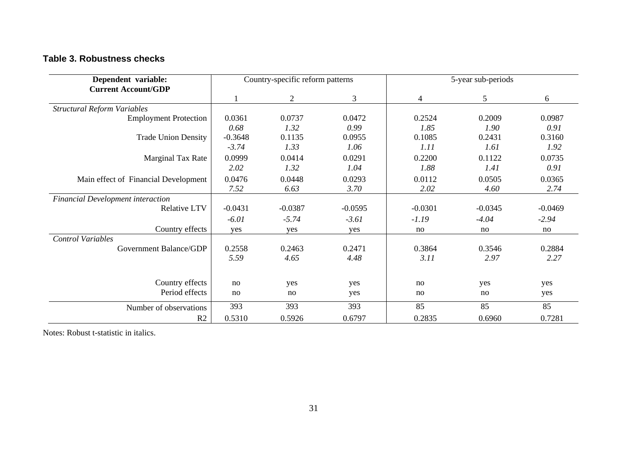#### **Table 3. Robustness checks**

| Dependent variable:                      |           | Country-specific reform patterns |           | 5-year sub-periods |           |           |  |  |
|------------------------------------------|-----------|----------------------------------|-----------|--------------------|-----------|-----------|--|--|
| <b>Current Account/GDP</b>               |           | $\overline{c}$                   | 3         |                    | 5         | 6         |  |  |
| <b>Structural Reform Variables</b>       |           |                                  |           | 4                  |           |           |  |  |
| <b>Employment Protection</b>             | 0.0361    | 0.0737                           | 0.0472    | 0.2524             | 0.2009    | 0.0987    |  |  |
|                                          | 0.68      | 1.32                             | 0.99      | 1.85               | 1.90      | 0.91      |  |  |
| <b>Trade Union Density</b>               | $-0.3648$ | 0.1135                           | 0.0955    | 0.1085             | 0.2431    | 0.3160    |  |  |
|                                          | $-3.74$   | 1.33                             | 1.06      | 1.11               | 1.61      | 1.92      |  |  |
| Marginal Tax Rate                        | 0.0999    | 0.0414                           | 0.0291    | 0.2200             | 0.1122    | 0.0735    |  |  |
|                                          | 2.02      | 1.32                             | 1.04      | 1.88               | 1.41      | 0.91      |  |  |
|                                          |           |                                  |           |                    |           |           |  |  |
| Main effect of Financial Development     | 0.0476    | 0.0448                           | 0.0293    | 0.0112             | 0.0505    | 0.0365    |  |  |
|                                          | 7.52      | 6.63                             | 3.70      | 2.02               | 4.60      | 2.74      |  |  |
| <b>Financial Development interaction</b> |           |                                  |           |                    |           |           |  |  |
| <b>Relative LTV</b>                      | $-0.0431$ | $-0.0387$                        | $-0.0595$ | $-0.0301$          | $-0.0345$ | $-0.0469$ |  |  |
|                                          | $-6.01$   | $-5.74$                          | $-3.61$   | $-1.19$            | $-4.04$   | $-2.94$   |  |  |
| Country effects                          | yes       | yes                              | yes       | no                 | no        | no        |  |  |
| <b>Control Variables</b>                 |           |                                  |           |                    |           |           |  |  |
| Government Balance/GDP                   | 0.2558    | 0.2463                           | 0.2471    | 0.3864             | 0.3546    | 0.2884    |  |  |
|                                          | 5.59      | 4.65                             | 4.48      | 3.11               | 2.97      | 2.27      |  |  |
|                                          |           |                                  |           |                    |           |           |  |  |
| Country effects                          |           |                                  |           |                    |           |           |  |  |
| Period effects                           | no        | yes                              | yes       | no                 | yes       | yes       |  |  |
|                                          | no        | no                               | yes       | no                 | no        | yes       |  |  |
| Number of observations                   | 393       | 393                              | 393       | 85                 | 85        | 85        |  |  |
| R2                                       | 0.5310    | 0.5926                           | 0.6797    | 0.2835             | 0.6960    | 0.7281    |  |  |

Notes: Robust t-statistic in italics.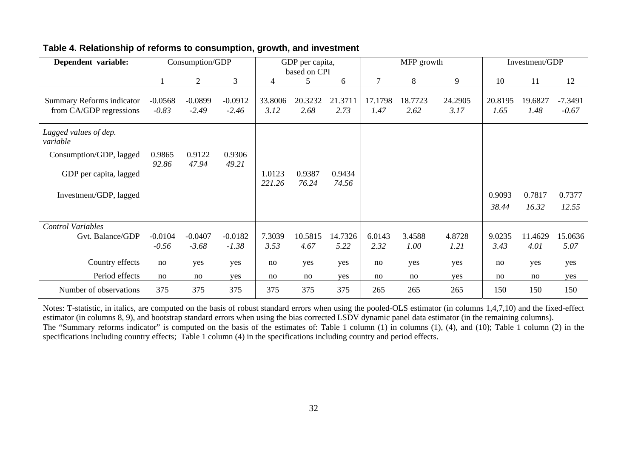| Dependent variable:                                  | Consumption/GDP      |                      |                      | GDP per capita,<br>based on CPI |                 |                 |                 | MFP growth      |                 | Investment/GDP  |                 |                      |
|------------------------------------------------------|----------------------|----------------------|----------------------|---------------------------------|-----------------|-----------------|-----------------|-----------------|-----------------|-----------------|-----------------|----------------------|
|                                                      |                      | $\overline{2}$       | 3                    | 4                               | 5               | 6               | 7               | 8               | 9               | 10              | 11              | 12                   |
| Summary Reforms indicator<br>from CA/GDP regressions | $-0.0568$<br>$-0.83$ | $-0.0899$<br>$-2.49$ | $-0.0912$<br>$-2.46$ | 33.8006<br>3.12                 | 20.3232<br>2.68 | 21.3711<br>2.73 | 17.1798<br>1.47 | 18.7723<br>2.62 | 24.2905<br>3.17 | 20.8195<br>1.65 | 19.6827<br>1.48 | $-7.3491$<br>$-0.67$ |
| Lagged values of dep.<br>variable                    |                      |                      |                      |                                 |                 |                 |                 |                 |                 |                 |                 |                      |
| Consumption/GDP, lagged                              | 0.9865<br>92.86      | 0.9122<br>47.94      | 0.9306<br>49.21      |                                 |                 |                 |                 |                 |                 |                 |                 |                      |
| GDP per capita, lagged                               |                      |                      |                      | 1.0123<br>221.26                | 0.9387<br>76.24 | 0.9434<br>74.56 |                 |                 |                 |                 |                 |                      |
| Investment/GDP, lagged                               |                      |                      |                      |                                 |                 |                 |                 |                 |                 | 0.9093          | 0.7817          | 0.7377               |
|                                                      |                      |                      |                      |                                 |                 |                 |                 |                 |                 | 38.44           | 16.32           | 12.55                |
| <b>Control Variables</b>                             |                      |                      |                      |                                 |                 |                 |                 |                 |                 |                 |                 |                      |
| Gvt. Balance/GDP                                     | $-0.0104$<br>$-0.56$ | $-0.0407$<br>$-3.68$ | $-0.0182$<br>$-1.38$ | 7.3039<br>3.53                  | 10.5815<br>4.67 | 14.7326<br>5.22 | 6.0143<br>2.32  | 3.4588<br>1.00  | 4.8728<br>1.21  | 9.0235<br>3.43  | 11.4629<br>4.01 | 15.0636<br>5.07      |
| Country effects                                      | no                   | yes                  | yes                  | no                              | yes             | yes             | no              | yes             | yes             | no              | yes             | yes                  |
| Period effects                                       | no                   | no                   | yes                  | no                              | no              | yes             | no              | no              | yes             | no              | no              | yes                  |
| Number of observations                               | 375                  | 375                  | 375                  | 375                             | 375             | 375             | 265             | 265             | 265             | 150             | 150             | 150                  |

## **Table 4. Relationship of reforms to consumption, growth, and investment**

Notes: T-statistic, in italics, are computed on the basis of robust standard errors when using the pooled-OLS estimator (in columns 1,4,7,10) and the fixed-effect estimator (in columns 8, 9), and bootstrap standard errors when using the bias corrected LSDV dynamic panel data estimator (in the remaining columns). The "Summary reforms indicator" is computed on the basis of the estimates of: Table 1 column (1) in columns (1), (4), and (10); Table 1 column (2) in the specifications including country effects; Table 1 column (4) in the specifications including country and period effects.